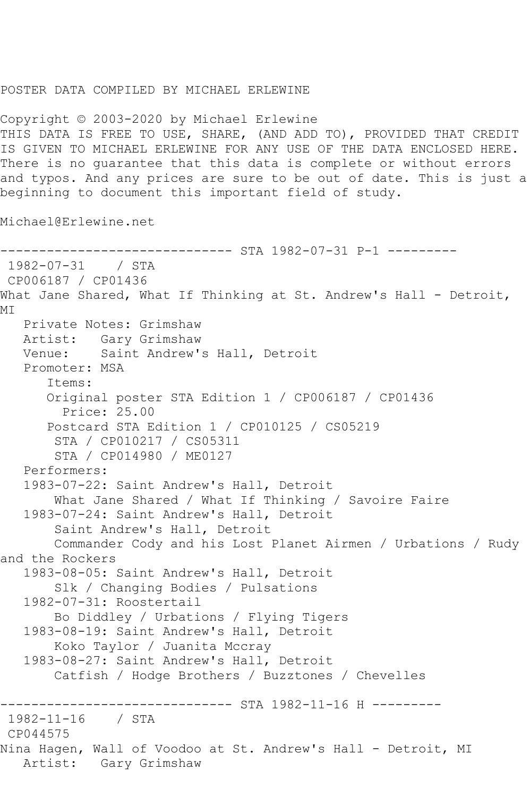## POSTER DATA COMPILED BY MICHAEL ERLEWINE

Copyright © 2003-2020 by Michael Erlewine THIS DATA IS FREE TO USE, SHARE, (AND ADD TO), PROVIDED THAT CREDIT IS GIVEN TO MICHAEL ERLEWINE FOR ANY USE OF THE DATA ENCLOSED HERE. There is no guarantee that this data is complete or without errors and typos. And any prices are sure to be out of date. This is just a beginning to document this important field of study.

Michael@Erlewine.net

```
------------------------------ STA 1982-07-31 P-1 ---------
1982-07-31 / STA 
CP006187 / CP01436
What Jane Shared, What If Thinking at St. Andrew's Hall - Detroit,
MI
   Private Notes: Grimshaw
   Artist: Gary Grimshaw
   Venue: Saint Andrew's Hall, Detroit
   Promoter: MSA
       Items:
       Original poster STA Edition 1 / CP006187 / CP01436
         Price: 25.00
       Postcard STA Edition 1 / CP010125 / CS05219
        STA / CP010217 / CS05311
        STA / CP014980 / ME0127
   Performers:
   1983-07-22: Saint Andrew's Hall, Detroit
        What Jane Shared / What If Thinking / Savoire Faire
   1983-07-24: Saint Andrew's Hall, Detroit
        Saint Andrew's Hall, Detroit
        Commander Cody and his Lost Planet Airmen / Urbations / Rudy 
and the Rockers
   1983-08-05: Saint Andrew's Hall, Detroit
        Slk / Changing Bodies / Pulsations
   1982-07-31: Roostertail
        Bo Diddley / Urbations / Flying Tigers
   1983-08-19: Saint Andrew's Hall, Detroit
        Koko Taylor / Juanita Mccray
   1983-08-27: Saint Andrew's Hall, Detroit
        Catfish / Hodge Brothers / Buzztones / Chevelles
  ------------------------------ STA 1982-11-16 H ---------
1982-11-16 / STA 
CP044575
Nina Hagen, Wall of Voodoo at St. Andrew's Hall - Detroit, MI
   Artist: Gary Grimshaw
```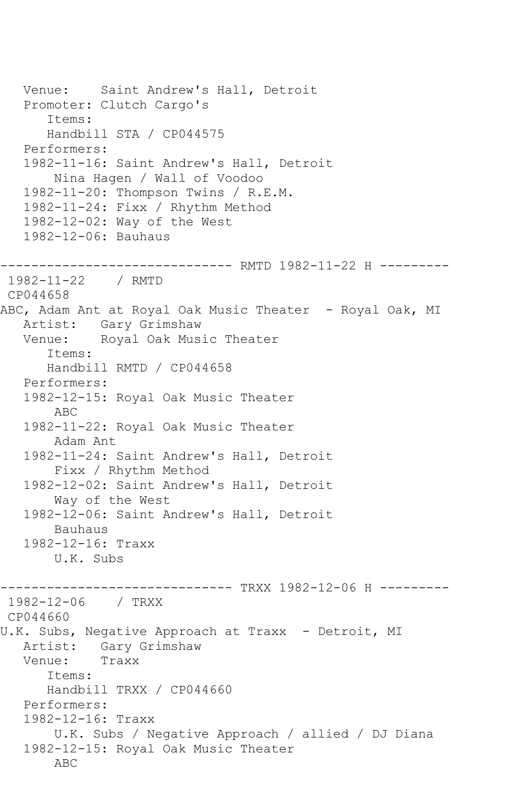Venue: Saint Andrew's Hall, Detroit Promoter: Clutch Cargo's Items: Handbill STA / CP044575 Performers: 1982-11-16: Saint Andrew's Hall, Detroit Nina Hagen / Wall of Voodoo 1982-11-20: Thompson Twins / R.E.M. 1982-11-24: Fixx / Rhythm Method 1982-12-02: Way of the West 1982-12-06: Bauhaus ------------------------------ RMTD 1982-11-22 H --------- 1982-11-22 / RMTD CP044658 ABC, Adam Ant at Royal Oak Music Theater - Royal Oak, MI Artist: Gary Grimshaw Venue: Royal Oak Music Theater Items: Handbill RMTD / CP044658 Performers: 1982-12-15: Royal Oak Music Theater ABC 1982-11-22: Royal Oak Music Theater Adam Ant 1982-11-24: Saint Andrew's Hall, Detroit Fixx / Rhythm Method 1982-12-02: Saint Andrew's Hall, Detroit Way of the West 1982-12-06: Saint Andrew's Hall, Detroit Bauhaus 1982-12-16: Traxx U.K. Subs ------------------------------ TRXX 1982-12-06 H --------- 1982-12-06 / TRXX CP044660 U.K. Subs, Negative Approach at Traxx - Detroit, MI Artist: Gary Grimshaw<br>Venue: Traxx Venue: Items: Handbill TRXX / CP044660 Performers: 1982-12-16: Traxx U.K. Subs / Negative Approach / allied / DJ Diana 1982-12-15: Royal Oak Music Theater ABC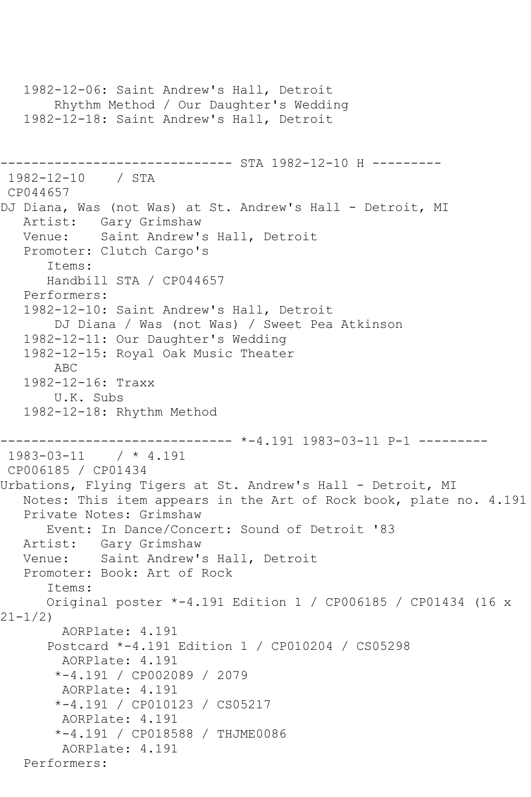```
 1982-12-06: Saint Andrew's Hall, Detroit
        Rhythm Method / Our Daughter's Wedding
   1982-12-18: Saint Andrew's Hall, Detroit
                     ---------- STA 1982-12-10 H ---------
1982-12-10 / STA 
CP044657
DJ Diana, Was (not Was) at St. Andrew's Hall - Detroit, MI
   Artist: Gary Grimshaw
   Venue: Saint Andrew's Hall, Detroit
   Promoter: Clutch Cargo's
       Items:
      Handbill STA / CP044657
   Performers:
   1982-12-10: Saint Andrew's Hall, Detroit
        DJ Diana / Was (not Was) / Sweet Pea Atkinson
   1982-12-11: Our Daughter's Wedding
   1982-12-15: Royal Oak Music Theater
        ABC
   1982-12-16: Traxx
        U.K. Subs
   1982-12-18: Rhythm Method
         ------------------------------ *-4.191 1983-03-11 P-1 ---------
1983-03-11 / * 4.191
CP006185 / CP01434
Urbations, Flying Tigers at St. Andrew's Hall - Detroit, MI
   Notes: This item appears in the Art of Rock book, plate no. 4.191
   Private Notes: Grimshaw
      Event: In Dance/Concert: Sound of Detroit '83
   Artist: Gary Grimshaw
   Venue: Saint Andrew's Hall, Detroit
   Promoter: Book: Art of Rock
       Items:
      Original poster *-4.191 Edition 1 / CP006185 / CP01434 (16 x 
21-1/2)
        AORPlate: 4.191 
       Postcard *-4.191 Edition 1 / CP010204 / CS05298
         AORPlate: 4.191 
        *-4.191 / CP002089 / 2079
         AORPlate: 4.191 
        *-4.191 / CP010123 / CS05217
        AORPlate: 4.191 
        *-4.191 / CP018588 / THJME0086
         AORPlate: 4.191 
   Performers:
```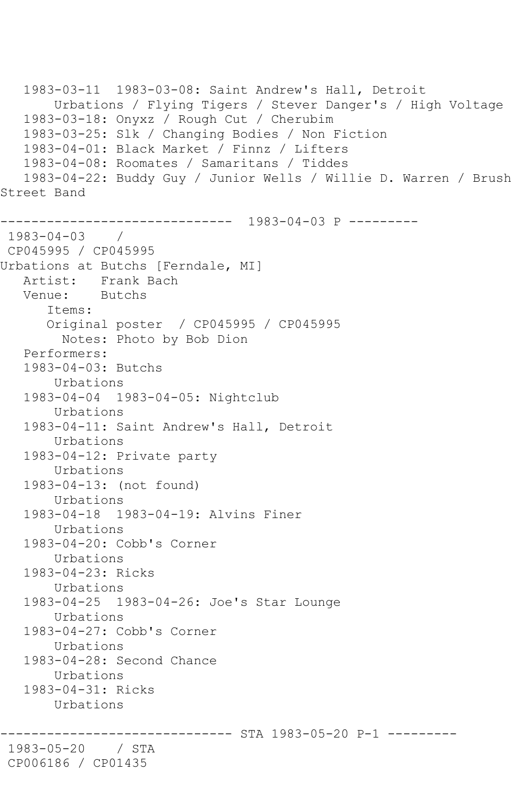1983-03-11 1983-03-08: Saint Andrew's Hall, Detroit Urbations / Flying Tigers / Stever Danger's / High Voltage 1983-03-18: Onyxz / Rough Cut / Cherubim 1983-03-25: Slk / Changing Bodies / Non Fiction 1983-04-01: Black Market / Finnz / Lifters 1983-04-08: Roomates / Samaritans / Tiddes 1983-04-22: Buddy Guy / Junior Wells / Willie D. Warren / Brush Street Band ------------------------------ 1983-04-03 P --------- 1983-04-03 / CP045995 / CP045995 Urbations at Butchs [Ferndale, MI] Artist: Frank Bach<br>Venue: Butchs Venue: Items: Original poster / CP045995 / CP045995 Notes: Photo by Bob Dion Performers: 1983-04-03: Butchs Urbations 1983-04-04 1983-04-05: Nightclub Urbations 1983-04-11: Saint Andrew's Hall, Detroit Urbations 1983-04-12: Private party Urbations 1983-04-13: (not found) Urbations 1983-04-18 1983-04-19: Alvins Finer Urbations 1983-04-20: Cobb's Corner Urbations 1983-04-23: Ricks Urbations 1983-04-25 1983-04-26: Joe's Star Lounge Urbations 1983-04-27: Cobb's Corner Urbations 1983-04-28: Second Chance Urbations 1983-04-31: Ricks Urbations ------------------------------ STA 1983-05-20 P-1 --------- 1983-05-20 / STA CP006186 / CP01435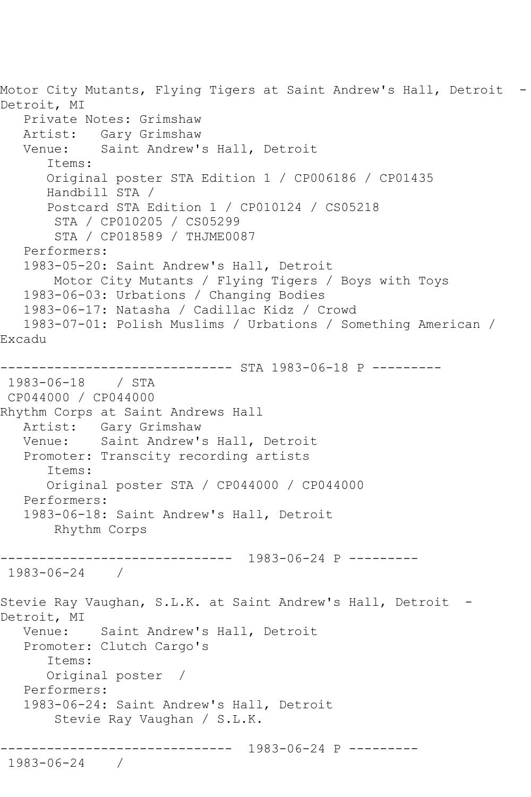Motor City Mutants, Flying Tigers at Saint Andrew's Hall, Detroit - Detroit, MI Private Notes: Grimshaw Artist: Gary Grimshaw<br>Venue: Saint Andrew' Saint Andrew's Hall, Detroit Items: Original poster STA Edition 1 / CP006186 / CP01435 Handbill STA / Postcard STA Edition 1 / CP010124 / CS05218 STA / CP010205 / CS05299 STA / CP018589 / THJME0087 Performers: 1983-05-20: Saint Andrew's Hall, Detroit Motor City Mutants / Flying Tigers / Boys with Toys 1983-06-03: Urbations / Changing Bodies 1983-06-17: Natasha / Cadillac Kidz / Crowd 1983-07-01: Polish Muslims / Urbations / Something American / Excadu ------------------------------ STA 1983-06-18 P --------- 1983-06-18 / STA CP044000 / CP044000 Rhythm Corps at Saint Andrews Hall Artist: Gary Grimshaw Venue: Saint Andrew's Hall, Detroit Promoter: Transcity recording artists Items: Original poster STA / CP044000 / CP044000 Performers: 1983-06-18: Saint Andrew's Hall, Detroit Rhythm Corps ------------------------------ 1983-06-24 P --------- 1983-06-24 / Stevie Ray Vaughan, S.L.K. at Saint Andrew's Hall, Detroit -Detroit, MI Venue: Saint Andrew's Hall, Detroit Promoter: Clutch Cargo's Items: Original poster / Performers: 1983-06-24: Saint Andrew's Hall, Detroit Stevie Ray Vaughan / S.L.K. ------------------------------ 1983-06-24 P --------- 1983-06-24 /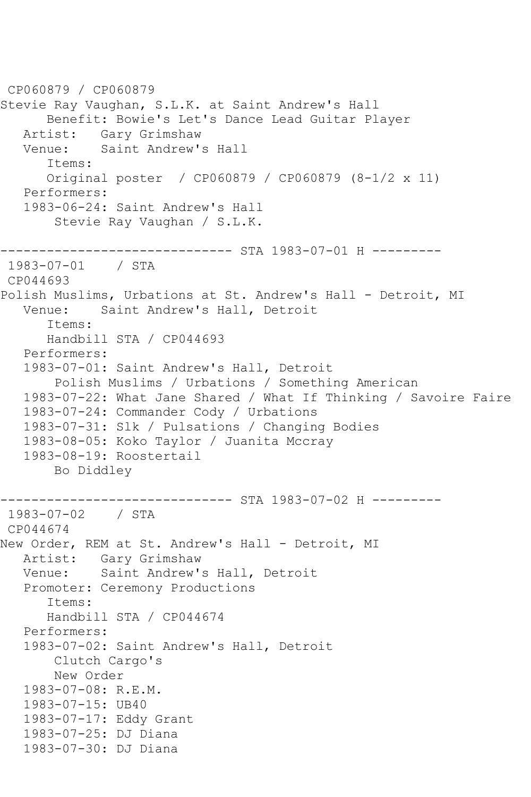CP060879 / CP060879 Stevie Ray Vaughan, S.L.K. at Saint Andrew's Hall Benefit: Bowie's Let's Dance Lead Guitar Player Artist: Gary Grimshaw<br>Venue: Saint Andrew' Saint Andrew's Hall Items: Original poster / CP060879 / CP060879 (8-1/2 x 11) Performers: 1983-06-24: Saint Andrew's Hall Stevie Ray Vaughan / S.L.K. ------------------------------ STA 1983-07-01 H --------- 1983-07-01 / STA CP044693 Polish Muslims, Urbations at St. Andrew's Hall - Detroit, MI Venue: Saint Andrew's Hall, Detroit Items: Handbill STA / CP044693 Performers: 1983-07-01: Saint Andrew's Hall, Detroit Polish Muslims / Urbations / Something American 1983-07-22: What Jane Shared / What If Thinking / Savoire Faire 1983-07-24: Commander Cody / Urbations 1983-07-31: Slk / Pulsations / Changing Bodies 1983-08-05: Koko Taylor / Juanita Mccray 1983-08-19: Roostertail Bo Diddley ------------------------------ STA 1983-07-02 H --------- 1983-07-02 / STA CP044674 New Order, REM at St. Andrew's Hall - Detroit, MI Artist: Gary Grimshaw<br>Venue: Saint Andrew' Saint Andrew's Hall, Detroit Promoter: Ceremony Productions Items: Handbill STA / CP044674 Performers: 1983-07-02: Saint Andrew's Hall, Detroit Clutch Cargo's New Order 1983-07-08: R.E.M. 1983-07-15: UB40 1983-07-17: Eddy Grant 1983-07-25: DJ Diana 1983-07-30: DJ Diana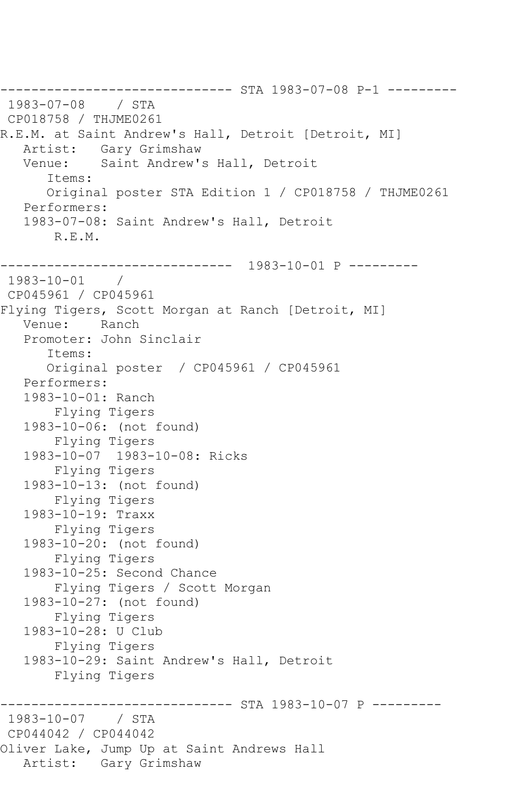------------------------------ STA 1983-07-08 P-1 --------- 1983-07-08 / STA CP018758 / THJME0261 R.E.M. at Saint Andrew's Hall, Detroit [Detroit, MI] Artist: Gary Grimshaw Venue: Saint Andrew's Hall, Detroit Items: Original poster STA Edition 1 / CP018758 / THJME0261 Performers: 1983-07-08: Saint Andrew's Hall, Detroit R.E.M. ------------------------------ 1983-10-01 P --------- 1983-10-01 / CP045961 / CP045961 Flying Tigers, Scott Morgan at Ranch [Detroit, MI] Venue: Ranch Promoter: John Sinclair Items: Original poster / CP045961 / CP045961 Performers: 1983-10-01: Ranch Flying Tigers 1983-10-06: (not found) Flying Tigers 1983-10-07 1983-10-08: Ricks Flying Tigers 1983-10-13: (not found) Flying Tigers 1983-10-19: Traxx Flying Tigers 1983-10-20: (not found) Flying Tigers 1983-10-25: Second Chance Flying Tigers / Scott Morgan 1983-10-27: (not found) Flying Tigers 1983-10-28: U Club Flying Tigers 1983-10-29: Saint Andrew's Hall, Detroit Flying Tigers ---------------- STA 1983-10-07 P ---------1983-10-07 / STA CP044042 / CP044042 Oliver Lake, Jump Up at Saint Andrews Hall Artist: Gary Grimshaw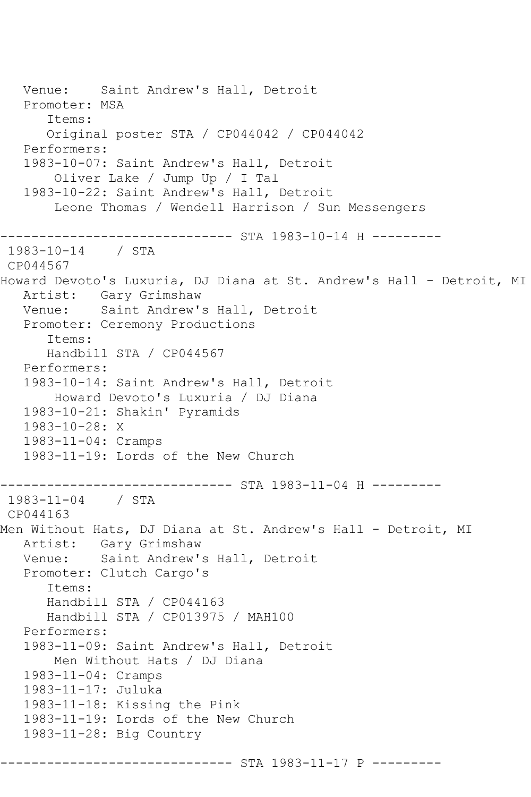```
 Venue: Saint Andrew's Hall, Detroit
   Promoter: MSA
       Items:
      Original poster STA / CP044042 / CP044042
   Performers:
   1983-10-07: Saint Andrew's Hall, Detroit
        Oliver Lake / Jump Up / I Tal
   1983-10-22: Saint Andrew's Hall, Detroit
        Leone Thomas / Wendell Harrison / Sun Messengers
------------------------------ STA 1983-10-14 H ---------
1983-10-14 / STA 
CP044567
Howard Devoto's Luxuria, DJ Diana at St. Andrew's Hall - Detroit, MI
   Artist: Gary Grimshaw
   Venue: Saint Andrew's Hall, Detroit
   Promoter: Ceremony Productions
       Items:
      Handbill STA / CP044567
   Performers:
   1983-10-14: Saint Andrew's Hall, Detroit
       Howard Devoto's Luxuria / DJ Diana
   1983-10-21: Shakin' Pyramids
   1983-10-28: X
   1983-11-04: Cramps
   1983-11-19: Lords of the New Church
   ------------------------------ STA 1983-11-04 H ---------
1983-11-04 / STA 
CP044163
Men Without Hats, DJ Diana at St. Andrew's Hall - Detroit, MI
   Artist: Gary Grimshaw
   Venue: Saint Andrew's Hall, Detroit
   Promoter: Clutch Cargo's
       Items:
      Handbill STA / CP044163
      Handbill STA / CP013975 / MAH100
   Performers:
   1983-11-09: Saint Andrew's Hall, Detroit
        Men Without Hats / DJ Diana
   1983-11-04: Cramps
   1983-11-17: Juluka
   1983-11-18: Kissing the Pink
   1983-11-19: Lords of the New Church
   1983-11-28: Big Country
                -------------- STA 1983-11-17 P ----------
```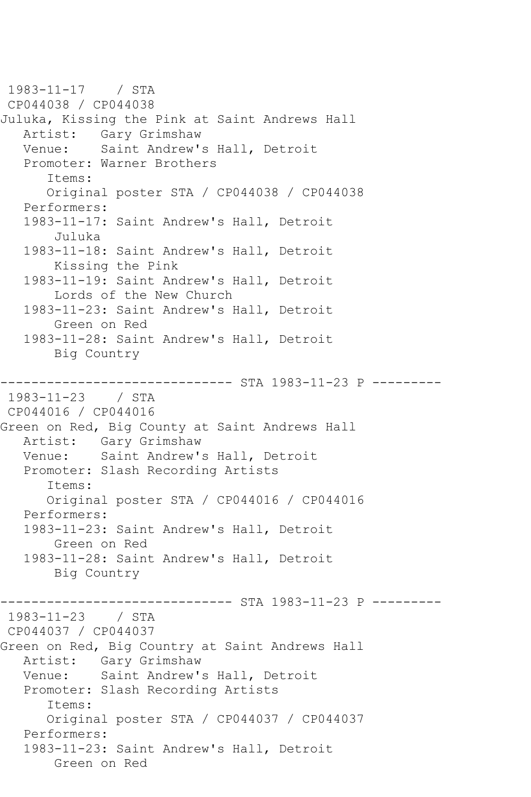1983-11-17 / STA CP044038 / CP044038 Juluka, Kissing the Pink at Saint Andrews Hall Artist: Gary Grimshaw<br>Venue: Saint Andrew' Saint Andrew's Hall, Detroit Promoter: Warner Brothers Items: Original poster STA / CP044038 / CP044038 Performers: 1983-11-17: Saint Andrew's Hall, Detroit Juluka 1983-11-18: Saint Andrew's Hall, Detroit Kissing the Pink 1983-11-19: Saint Andrew's Hall, Detroit Lords of the New Church 1983-11-23: Saint Andrew's Hall, Detroit Green on Red 1983-11-28: Saint Andrew's Hall, Detroit Big Country ------------------------------ STA 1983-11-23 P --------- 1983-11-23 / STA CP044016 / CP044016 Green on Red, Big County at Saint Andrews Hall Artist: Gary Grimshaw<br>Venue: Saint Andrew' Saint Andrew's Hall, Detroit Promoter: Slash Recording Artists Items: Original poster STA / CP044016 / CP044016 Performers: 1983-11-23: Saint Andrew's Hall, Detroit Green on Red 1983-11-28: Saint Andrew's Hall, Detroit Big Country ------------------------------ STA 1983-11-23 P --------- 1983-11-23 / STA CP044037 / CP044037 Green on Red, Big Country at Saint Andrews Hall Artist: Gary Grimshaw Venue: Saint Andrew's Hall, Detroit Promoter: Slash Recording Artists Items: Original poster STA / CP044037 / CP044037 Performers: 1983-11-23: Saint Andrew's Hall, Detroit Green on Red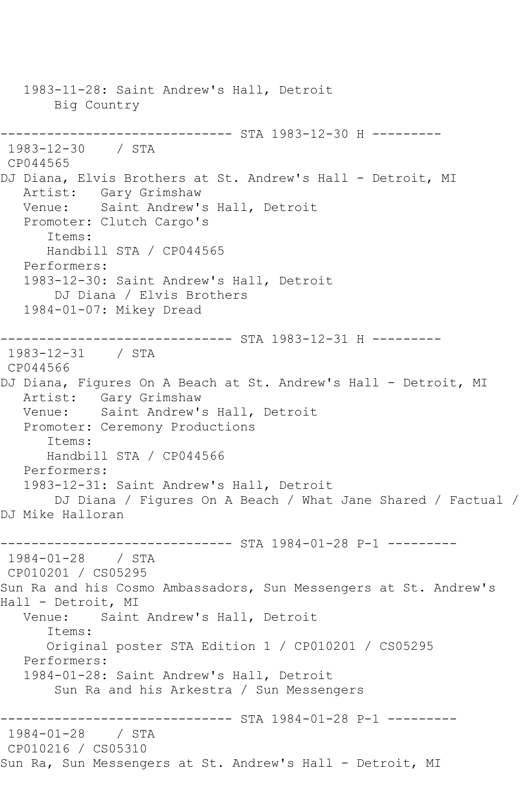1983-11-28: Saint Andrew's Hall, Detroit Big Country ------------------------------ STA 1983-12-30 H --------- 1983-12-30 / STA CP044565 DJ Diana, Elvis Brothers at St. Andrew's Hall - Detroit, MI Artist: Gary Grimshaw Venue: Saint Andrew's Hall, Detroit Promoter: Clutch Cargo's Items: Handbill STA / CP044565 Performers: 1983-12-30: Saint Andrew's Hall, Detroit DJ Diana / Elvis Brothers 1984-01-07: Mikey Dread ------------------------------ STA 1983-12-31 H --------- 1983-12-31 / STA CP044566 DJ Diana, Figures On A Beach at St. Andrew's Hall - Detroit, MI Artist: Gary Grimshaw Venue: Saint Andrew's Hall, Detroit Promoter: Ceremony Productions Items: Handbill STA / CP044566 Performers: 1983-12-31: Saint Andrew's Hall, Detroit DJ Diana / Figures On A Beach / What Jane Shared / Factual / DJ Mike Halloran ------------------------------ STA 1984-01-28 P-1 --------- 1984-01-28 / STA CP010201 / CS05295 Sun Ra and his Cosmo Ambassadors, Sun Messengers at St. Andrew's Hall - Detroit, MI Venue: Saint Andrew's Hall, Detroit Items: Original poster STA Edition 1 / CP010201 / CS05295 Performers: 1984-01-28: Saint Andrew's Hall, Detroit Sun Ra and his Arkestra / Sun Messengers ------------------------------ STA 1984-01-28 P-1 --------- 1984-01-28 / STA CP010216 / CS05310 Sun Ra, Sun Messengers at St. Andrew's Hall - Detroit, MI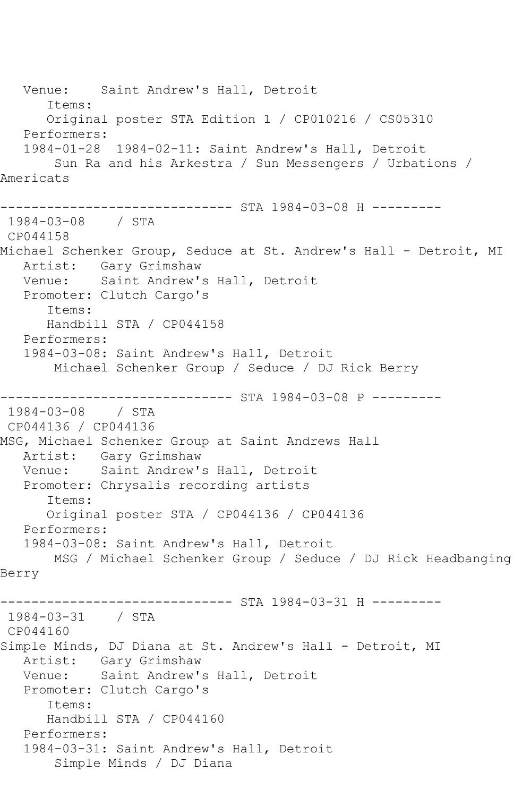Venue: Saint Andrew's Hall, Detroit Items: Original poster STA Edition 1 / CP010216 / CS05310 Performers: 1984-01-28 1984-02-11: Saint Andrew's Hall, Detroit Sun Ra and his Arkestra / Sun Messengers / Urbations / Americats ------------------- STA 1984-03-08 H ---------1984-03-08 / STA CP044158 Michael Schenker Group, Seduce at St. Andrew's Hall - Detroit, MI Artist: Gary Grimshaw Venue: Saint Andrew's Hall, Detroit Promoter: Clutch Cargo's Items: Handbill STA / CP044158 Performers: 1984-03-08: Saint Andrew's Hall, Detroit Michael Schenker Group / Seduce / DJ Rick Berry ------------------- STA 1984-03-08 P ---------1984-03-08 / STA CP044136 / CP044136 MSG, Michael Schenker Group at Saint Andrews Hall Artist: Gary Grimshaw Venue: Saint Andrew's Hall, Detroit Promoter: Chrysalis recording artists Items: Original poster STA / CP044136 / CP044136 Performers: 1984-03-08: Saint Andrew's Hall, Detroit MSG / Michael Schenker Group / Seduce / DJ Rick Headbanging Berry ------------------------------ STA 1984-03-31 H --------- 1984-03-31 / STA CP044160 Simple Minds, DJ Diana at St. Andrew's Hall - Detroit, MI Artist: Gary Grimshaw Venue: Saint Andrew's Hall, Detroit Promoter: Clutch Cargo's Items: Handbill STA / CP044160 Performers: 1984-03-31: Saint Andrew's Hall, Detroit Simple Minds / DJ Diana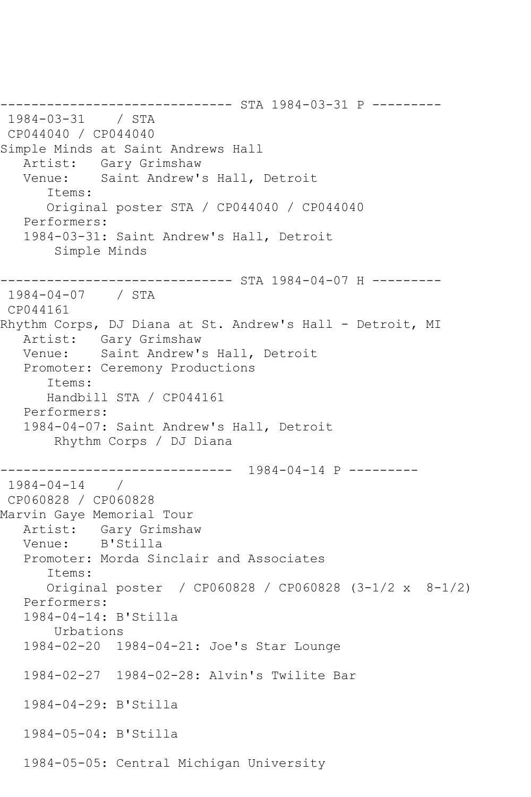------------------------------ STA 1984-03-31 P --------- 1984-03-31 / STA CP044040 / CP044040 Simple Minds at Saint Andrews Hall Artist: Gary Grimshaw<br>Venue: Saint Andrew's Saint Andrew's Hall, Detroit Items: Original poster STA / CP044040 / CP044040 Performers: 1984-03-31: Saint Andrew's Hall, Detroit Simple Minds ------------------------------ STA 1984-04-07 H --------- 1984-04-07 / STA CP044161 Rhythm Corps, DJ Diana at St. Andrew's Hall - Detroit, MI Artist: Gary Grimshaw Venue: Saint Andrew's Hall, Detroit Promoter: Ceremony Productions Items: Handbill STA / CP044161 Performers: 1984-04-07: Saint Andrew's Hall, Detroit Rhythm Corps / DJ Diana ------------------------------ 1984-04-14 P --------- 1984-04-14 / CP060828 / CP060828 Marvin Gaye Memorial Tour Artist: Gary Grimshaw Venue: B'Stilla Promoter: Morda Sinclair and Associates Items: Original poster / CP060828 / CP060828 (3-1/2 x 8-1/2) Performers: 1984-04-14: B'Stilla Urbations 1984-02-20 1984-04-21: Joe's Star Lounge 1984-02-27 1984-02-28: Alvin's Twilite Bar 1984-04-29: B'Stilla 1984-05-04: B'Stilla 1984-05-05: Central Michigan University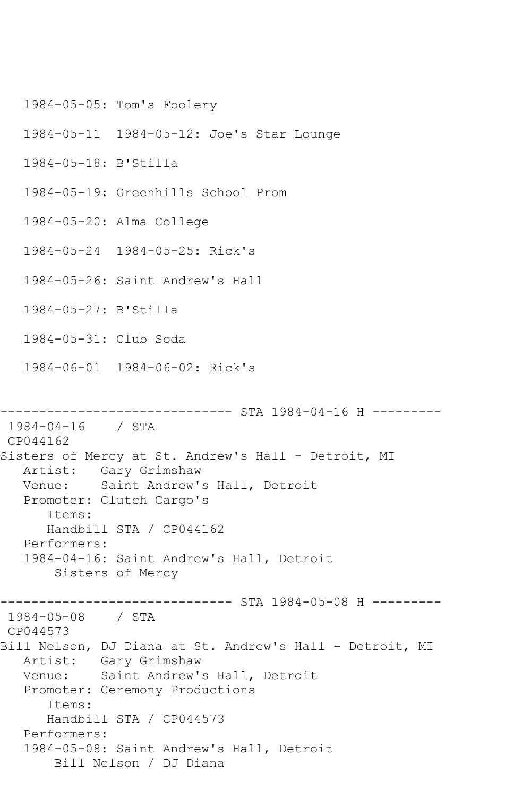1984-05-05: Tom's Foolery 1984-05-11 1984-05-12: Joe's Star Lounge 1984-05-18: B'Stilla 1984-05-19: Greenhills School Prom 1984-05-20: Alma College 1984-05-24 1984-05-25: Rick's 1984-05-26: Saint Andrew's Hall 1984-05-27: B'Stilla 1984-05-31: Club Soda 1984-06-01 1984-06-02: Rick's ------------------------------ STA 1984-04-16 H --------- 1984-04-16 / STA CP044162 Sisters of Mercy at St. Andrew's Hall - Detroit, MI Artist: Gary Grimshaw Venue: Saint Andrew's Hall, Detroit Promoter: Clutch Cargo's Items: Handbill STA / CP044162 Performers: 1984-04-16: Saint Andrew's Hall, Detroit Sisters of Mercy ------------------------------ STA 1984-05-08 H --------- 1984-05-08 / STA CP044573 Bill Nelson, DJ Diana at St. Andrew's Hall - Detroit, MI Artist: Gary Grimshaw Venue: Saint Andrew's Hall, Detroit Promoter: Ceremony Productions Items: Handbill STA / CP044573 Performers: 1984-05-08: Saint Andrew's Hall, Detroit Bill Nelson / DJ Diana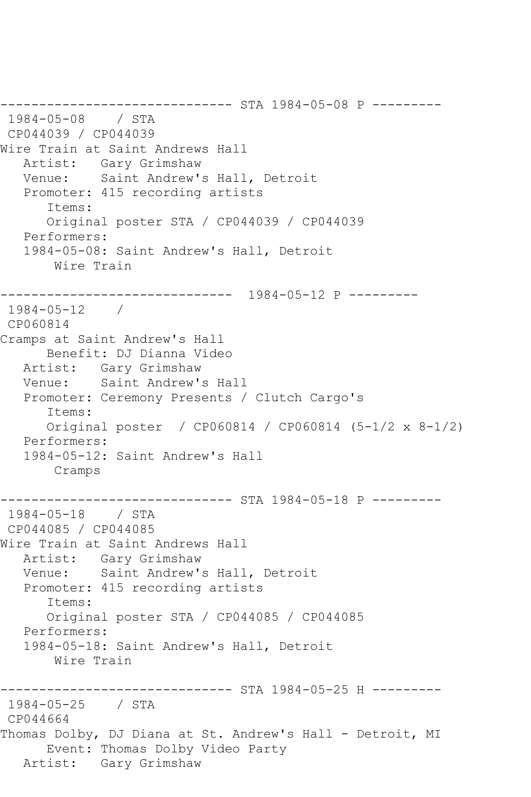------------------------------ STA 1984-05-08 P --------- 1984-05-08 / STA CP044039 / CP044039 Wire Train at Saint Andrews Hall Artist: Gary Grimshaw Venue: Saint Andrew's Hall, Detroit Promoter: 415 recording artists Items: Original poster STA / CP044039 / CP044039 Performers: 1984-05-08: Saint Andrew's Hall, Detroit Wire Train ------------------------------ 1984-05-12 P --------- 1984-05-12 / CP060814 Cramps at Saint Andrew's Hall Benefit: DJ Dianna Video Artist: Gary Grimshaw<br>Venue: Saint Andrew' Saint Andrew's Hall Promoter: Ceremony Presents / Clutch Cargo's Items: Original poster / CP060814 / CP060814 (5-1/2 x 8-1/2) Performers: 1984-05-12: Saint Andrew's Hall Cramps ------------------------------ STA 1984-05-18 P --------- 1984-05-18 / STA CP044085 / CP044085 Wire Train at Saint Andrews Hall Artist: Gary Grimshaw<br>Venue: Saint Andrew' Saint Andrew's Hall, Detroit Promoter: 415 recording artists Items: Original poster STA / CP044085 / CP044085 Performers: 1984-05-18: Saint Andrew's Hall, Detroit Wire Train ------------------------------ STA 1984-05-25 H --------- 1984-05-25 / STA CP044664 Thomas Dolby, DJ Diana at St. Andrew's Hall - Detroit, MI Event: Thomas Dolby Video Party Artist: Gary Grimshaw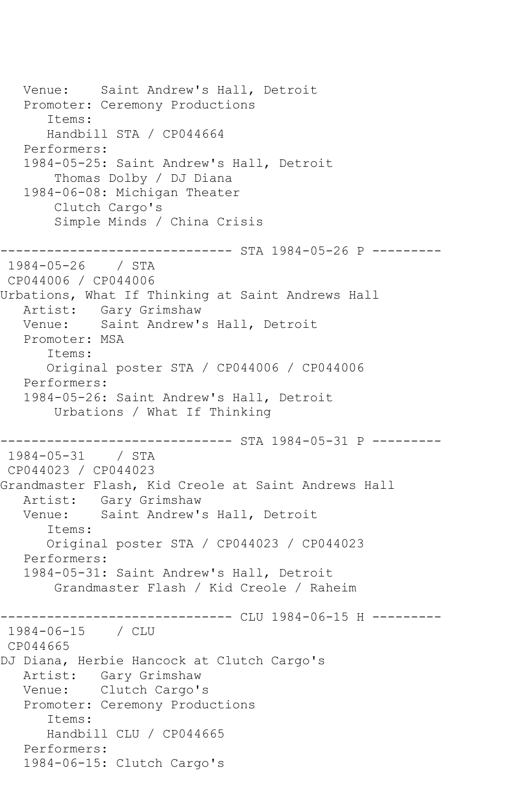```
 Venue: Saint Andrew's Hall, Detroit
   Promoter: Ceremony Productions
       Items:
      Handbill STA / CP044664
   Performers:
   1984-05-25: Saint Andrew's Hall, Detroit
        Thomas Dolby / DJ Diana
   1984-06-08: Michigan Theater
        Clutch Cargo's
        Simple Minds / China Crisis
   ------------------------------ STA 1984-05-26 P ---------
1984-05-26 / STA 
CP044006 / CP044006
Urbations, What If Thinking at Saint Andrews Hall
   Artist: Gary Grimshaw
   Venue: Saint Andrew's Hall, Detroit
   Promoter: MSA
       Items:
      Original poster STA / CP044006 / CP044006
   Performers:
   1984-05-26: Saint Andrew's Hall, Detroit
       Urbations / What If Thinking
          ------------------------------ STA 1984-05-31 P ---------
1984-05-31 / STA 
CP044023 / CP044023
Grandmaster Flash, Kid Creole at Saint Andrews Hall
   Artist: Gary Grimshaw
   Venue: Saint Andrew's Hall, Detroit
       Items:
       Original poster STA / CP044023 / CP044023
   Performers:
   1984-05-31: Saint Andrew's Hall, Detroit
        Grandmaster Flash / Kid Creole / Raheim
------------------------------ CLU 1984-06-15 H ---------
1984-06-15 / CLU 
CP044665
DJ Diana, Herbie Hancock at Clutch Cargo's
   Artist: Gary Grimshaw
   Venue: Clutch Cargo's
   Promoter: Ceremony Productions
       Items:
      Handbill CLU / CP044665
   Performers:
   1984-06-15: Clutch Cargo's
```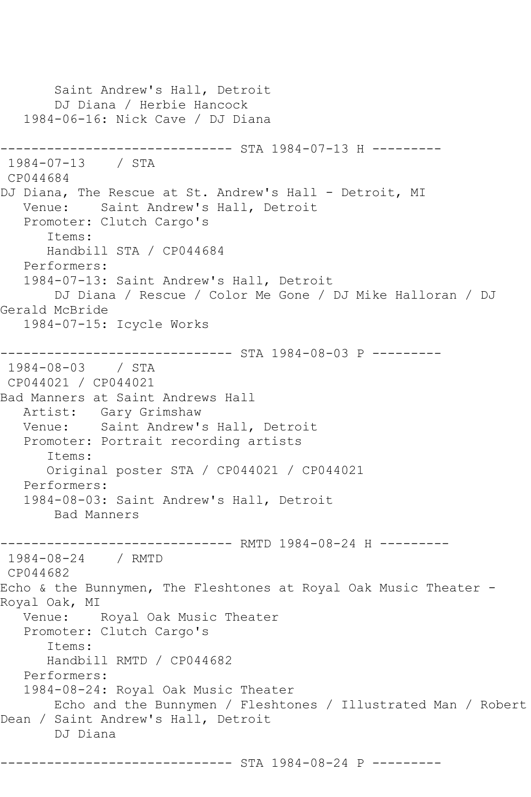Saint Andrew's Hall, Detroit DJ Diana / Herbie Hancock 1984-06-16: Nick Cave / DJ Diana ------------------------------ STA 1984-07-13 H --------- 1984-07-13 / STA CP044684 DJ Diana, The Rescue at St. Andrew's Hall - Detroit, MI Venue: Saint Andrew's Hall, Detroit Promoter: Clutch Cargo's Items: Handbill STA / CP044684 Performers: 1984-07-13: Saint Andrew's Hall, Detroit DJ Diana / Rescue / Color Me Gone / DJ Mike Halloran / DJ Gerald McBride 1984-07-15: Icycle Works ------------------------------ STA 1984-08-03 P --------- 1984-08-03 / STA CP044021 / CP044021 Bad Manners at Saint Andrews Hall Artist: Gary Grimshaw Venue: Saint Andrew's Hall, Detroit Promoter: Portrait recording artists Items: Original poster STA / CP044021 / CP044021 Performers: 1984-08-03: Saint Andrew's Hall, Detroit Bad Manners ------------------------------ RMTD 1984-08-24 H --------- 1984-08-24 / RMTD CP044682 Echo & the Bunnymen, The Fleshtones at Royal Oak Music Theater - Royal Oak, MI Venue: Royal Oak Music Theater Promoter: Clutch Cargo's Items: Handbill RMTD / CP044682 Performers: 1984-08-24: Royal Oak Music Theater Echo and the Bunnymen / Fleshtones / Illustrated Man / Robert Dean / Saint Andrew's Hall, Detroit DJ Diana ------------------------------ STA 1984-08-24 P ---------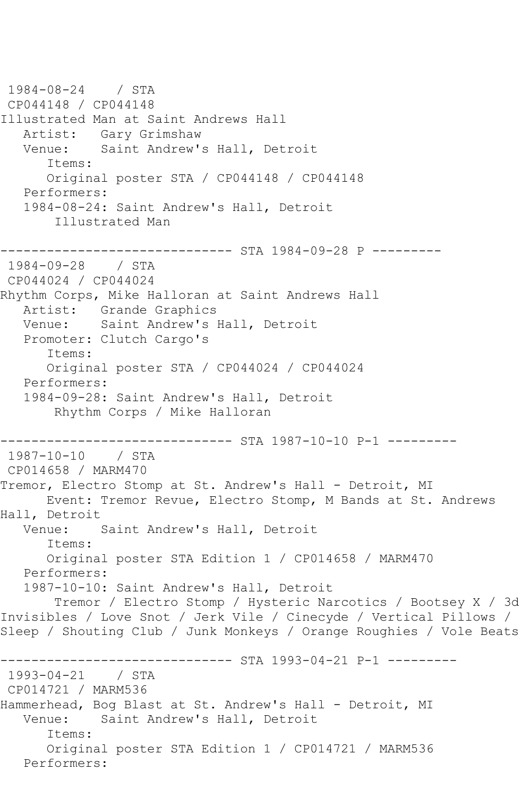1984-08-24 / STA CP044148 / CP044148 Illustrated Man at Saint Andrews Hall Artist: Gary Grimshaw<br>Venue: Saint Andrew' Saint Andrew's Hall, Detroit Items: Original poster STA / CP044148 / CP044148 Performers: 1984-08-24: Saint Andrew's Hall, Detroit Illustrated Man ----------------- STA 1984-09-28 P ---------1984-09-28 / STA CP044024 / CP044024 Rhythm Corps, Mike Halloran at Saint Andrews Hall Artist: Grande Graphics Venue: Saint Andrew's Hall, Detroit Promoter: Clutch Cargo's Items: Original poster STA / CP044024 / CP044024 Performers: 1984-09-28: Saint Andrew's Hall, Detroit Rhythm Corps / Mike Halloran ------------------------------ STA 1987-10-10 P-1 --------- 1987-10-10 / STA CP014658 / MARM470 Tremor, Electro Stomp at St. Andrew's Hall - Detroit, MI Event: Tremor Revue, Electro Stomp, M Bands at St. Andrews Hall, Detroit Venue: Saint Andrew's Hall, Detroit Items: Original poster STA Edition 1 / CP014658 / MARM470 Performers: 1987-10-10: Saint Andrew's Hall, Detroit Tremor / Electro Stomp / Hysteric Narcotics / Bootsey X / 3d Invisibles / Love Snot / Jerk Vile / Cinecyde / Vertical Pillows / Sleep / Shouting Club / Junk Monkeys / Orange Roughies / Vole Beats ------------------------------ STA 1993-04-21 P-1 --------- 1993-04-21 / STA CP014721 / MARM536 Hammerhead, Bog Blast at St. Andrew's Hall - Detroit, MI Venue: Saint Andrew's Hall, Detroit Items: Original poster STA Edition 1 / CP014721 / MARM536 Performers: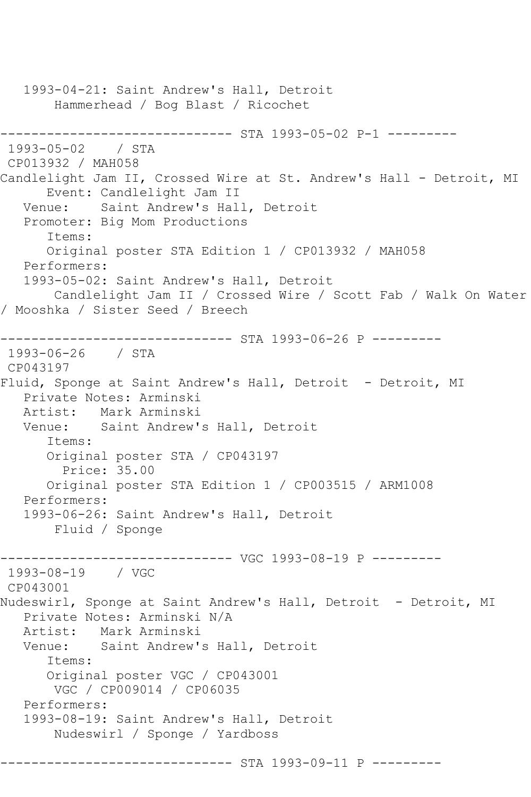1993-04-21: Saint Andrew's Hall, Detroit Hammerhead / Bog Blast / Ricochet ------------------------------ STA 1993-05-02 P-1 --------- 1993-05-02 / STA CP013932 / MAH058 Candlelight Jam II, Crossed Wire at St. Andrew's Hall - Detroit, MI Event: Candlelight Jam II Venue: Saint Andrew's Hall, Detroit Promoter: Big Mom Productions Items: Original poster STA Edition 1 / CP013932 / MAH058 Performers: 1993-05-02: Saint Andrew's Hall, Detroit Candlelight Jam II / Crossed Wire / Scott Fab / Walk On Water / Mooshka / Sister Seed / Breech ------------------------------ STA 1993-06-26 P --------- 1993-06-26 / STA CP043197 Fluid, Sponge at Saint Andrew's Hall, Detroit - Detroit, MI Private Notes: Arminski Artist: Mark Arminski Venue: Saint Andrew's Hall, Detroit Items: Original poster STA / CP043197 Price: 35.00 Original poster STA Edition 1 / CP003515 / ARM1008 Performers: 1993-06-26: Saint Andrew's Hall, Detroit Fluid / Sponge ------------------------------ VGC 1993-08-19 P --------- 1993-08-19 / VGC CP043001 Nudeswirl, Sponge at Saint Andrew's Hall, Detroit - Detroit, MI Private Notes: Arminski N/A Artist: Mark Arminski Venue: Saint Andrew's Hall, Detroit Items: Original poster VGC / CP043001 VGC / CP009014 / CP06035 Performers: 1993-08-19: Saint Andrew's Hall, Detroit Nudeswirl / Sponge / Yardboss -------------- STA 1993-09-11 P ---------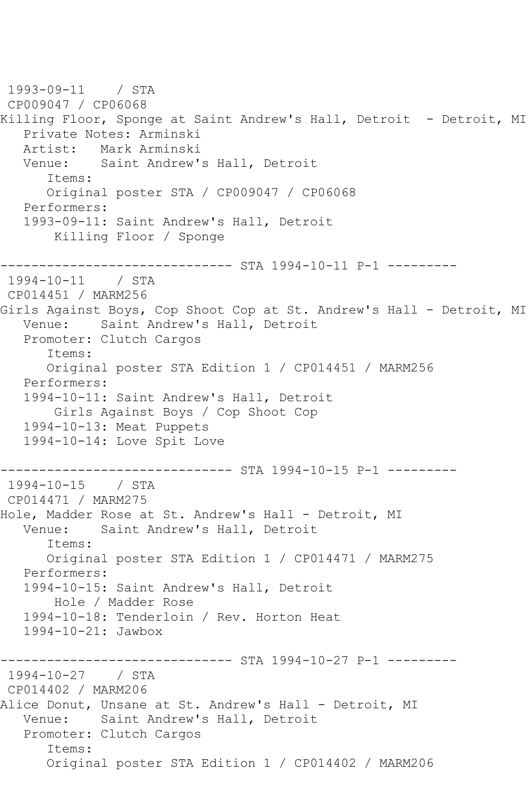1993-09-11 / STA CP009047 / CP06068 Killing Floor, Sponge at Saint Andrew's Hall, Detroit - Detroit, MI Private Notes: Arminski Artist: Mark Arminski Venue: Saint Andrew's Hall, Detroit Items: Original poster STA / CP009047 / CP06068 Performers: 1993-09-11: Saint Andrew's Hall, Detroit Killing Floor / Sponge ------------------------------ STA 1994-10-11 P-1 --------- 1994-10-11 / STA CP014451 / MARM256 Girls Against Boys, Cop Shoot Cop at St. Andrew's Hall - Detroit, MI Venue: Saint Andrew's Hall, Detroit Promoter: Clutch Cargos Items: Original poster STA Edition 1 / CP014451 / MARM256 Performers: 1994-10-11: Saint Andrew's Hall, Detroit Girls Against Boys / Cop Shoot Cop 1994-10-13: Meat Puppets 1994-10-14: Love Spit Love ------------------------------ STA 1994-10-15 P-1 --------- 1994-10-15 / STA CP014471 / MARM275 Hole, Madder Rose at St. Andrew's Hall - Detroit, MI Venue: Saint Andrew's Hall, Detroit Items: Original poster STA Edition 1 / CP014471 / MARM275 Performers: 1994-10-15: Saint Andrew's Hall, Detroit Hole / Madder Rose 1994-10-18: Tenderloin / Rev. Horton Heat 1994-10-21: Jawbox ------------------------------ STA 1994-10-27 P-1 --------- 1994-10-27 / STA CP014402 / MARM206 Alice Donut, Unsane at St. Andrew's Hall - Detroit, MI Venue: Saint Andrew's Hall, Detroit Promoter: Clutch Cargos Items: Original poster STA Edition 1 / CP014402 / MARM206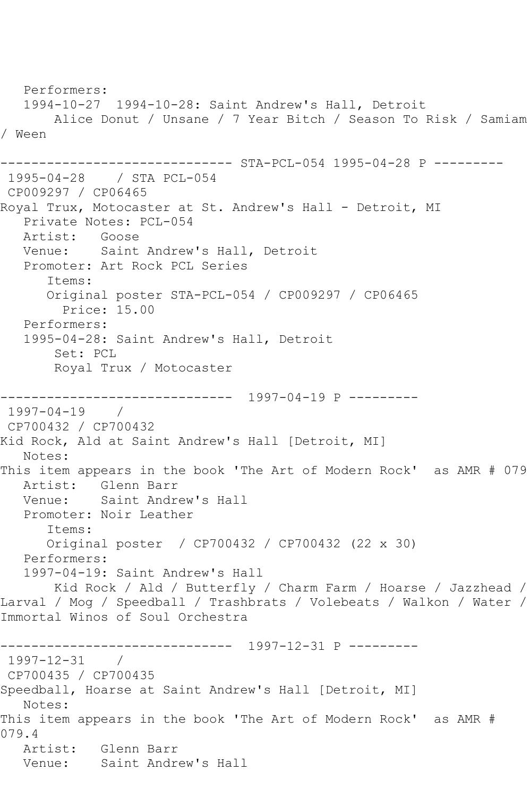```
 Performers:
   1994-10-27 1994-10-28: Saint Andrew's Hall, Detroit
        Alice Donut / Unsane / 7 Year Bitch / Season To Risk / Samiam 
/ Ween
                    ---------- STA-PCL-054 1995-04-28 P ---------
1995-04-28 / STA PCL-054
CP009297 / CP06465
Royal Trux, Motocaster at St. Andrew's Hall - Detroit, MI
   Private Notes: PCL-054
  Artist: Goose<br>Venue: Saint
           Saint Andrew's Hall, Detroit
   Promoter: Art Rock PCL Series
       Items:
      Original poster STA-PCL-054 / CP009297 / CP06465
         Price: 15.00
   Performers:
   1995-04-28: Saint Andrew's Hall, Detroit
        Set: PCL
        Royal Trux / Motocaster
                 ------------------------------ 1997-04-19 P ---------
1997-04-19 / 
CP700432 / CP700432
Kid Rock, Ald at Saint Andrew's Hall [Detroit, MI]
   Notes: 
This item appears in the book 'The Art of Modern Rock' as AMR # 079
   Artist: Glenn Barr
   Venue: Saint Andrew's Hall
   Promoter: Noir Leather
       Items:
       Original poster / CP700432 / CP700432 (22 x 30)
   Performers:
   1997-04-19: Saint Andrew's Hall
       Kid Rock / Ald / Butterfly / Charm Farm / Hoarse / Jazzhead / 
Larval / Mog / Speedball / Trashbrats / Volebeats / Walkon / Water / 
Immortal Winos of Soul Orchestra
------------------------------ 1997-12-31 P ---------
1997-12-31 / 
CP700435 / CP700435
Speedball, Hoarse at Saint Andrew's Hall [Detroit, MI]
   Notes: 
This item appears in the book 'The Art of Modern Rock' as AMR # 
079.4
   Artist: Glenn Barr
   Venue: Saint Andrew's Hall
```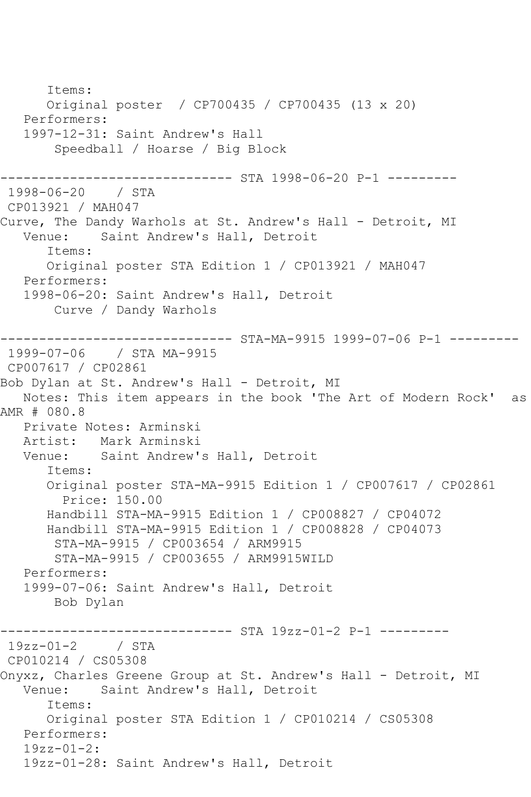Items: Original poster / CP700435 / CP700435 (13 x 20) Performers: 1997-12-31: Saint Andrew's Hall Speedball / Hoarse / Big Block ------------------------------ STA 1998-06-20 P-1 --------- 1998-06-20 / STA CP013921 / MAH047 Curve, The Dandy Warhols at St. Andrew's Hall - Detroit, MI<br>Venue: Saint Andrew's Hall, Detroit Saint Andrew's Hall, Detroit Items: Original poster STA Edition 1 / CP013921 / MAH047 Performers: 1998-06-20: Saint Andrew's Hall, Detroit Curve / Dandy Warhols ------------------------------ STA-MA-9915 1999-07-06 P-1 --------- 1999-07-06 / STA MA-9915 CP007617 / CP02861 Bob Dylan at St. Andrew's Hall - Detroit, MI Notes: This item appears in the book 'The Art of Modern Rock' as AMR # 080.8 Private Notes: Arminski Artist: Mark Arminski<br>Venue: Saint Andrew' Saint Andrew's Hall, Detroit Items: Original poster STA-MA-9915 Edition 1 / CP007617 / CP02861 Price: 150.00 Handbill STA-MA-9915 Edition 1 / CP008827 / CP04072 Handbill STA-MA-9915 Edition 1 / CP008828 / CP04073 STA-MA-9915 / CP003654 / ARM9915 STA-MA-9915 / CP003655 / ARM9915WILD Performers: 1999-07-06: Saint Andrew's Hall, Detroit Bob Dylan ---------- STA 19zz-01-2 P-1 ----------19zz-01-2 / STA CP010214 / CS05308 Onyxz, Charles Greene Group at St. Andrew's Hall - Detroit, MI Venue: Saint Andrew's Hall, Detroit Items: Original poster STA Edition 1 / CP010214 / CS05308 Performers: 19zz-01-2: 19zz-01-28: Saint Andrew's Hall, Detroit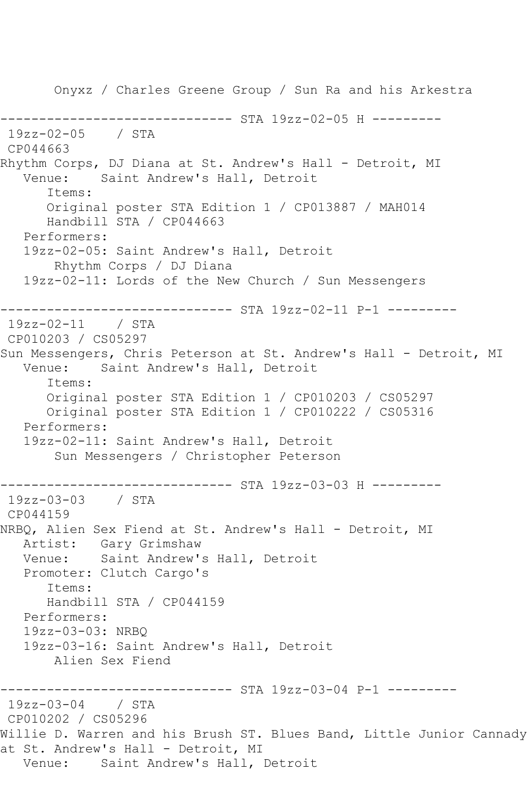Onyxz / Charles Greene Group / Sun Ra and his Arkestra ------------------------------ STA 19zz-02-05 H --------- 19zz-02-05 / STA CP044663 Rhythm Corps, DJ Diana at St. Andrew's Hall - Detroit, MI Venue: Saint Andrew's Hall, Detroit Items: Original poster STA Edition 1 / CP013887 / MAH014 Handbill STA / CP044663 Performers: 19zz-02-05: Saint Andrew's Hall, Detroit Rhythm Corps / DJ Diana 19zz-02-11: Lords of the New Church / Sun Messengers ------------------------------ STA 19zz-02-11 P-1 --------- 19zz-02-11 / STA CP010203 / CS05297 Sun Messengers, Chris Peterson at St. Andrew's Hall - Detroit, MI Venue: Saint Andrew's Hall, Detroit Items: Original poster STA Edition 1 / CP010203 / CS05297 Original poster STA Edition 1 / CP010222 / CS05316 Performers: 19zz-02-11: Saint Andrew's Hall, Detroit Sun Messengers / Christopher Peterson ------------------------------ STA 19zz-03-03 H --------- 19zz-03-03 / STA CP044159 NRBQ, Alien Sex Fiend at St. Andrew's Hall - Detroit, MI Artist: Gary Grimshaw Venue: Saint Andrew's Hall, Detroit Promoter: Clutch Cargo's Items: Handbill STA / CP044159 Performers: 19zz-03-03: NRBQ 19zz-03-16: Saint Andrew's Hall, Detroit Alien Sex Fiend ------------------------------ STA 19zz-03-04 P-1 --------- 19zz-03-04 / STA CP010202 / CS05296 Willie D. Warren and his Brush ST. Blues Band, Little Junior Cannady at St. Andrew's Hall - Detroit, MI Venue: Saint Andrew's Hall, Detroit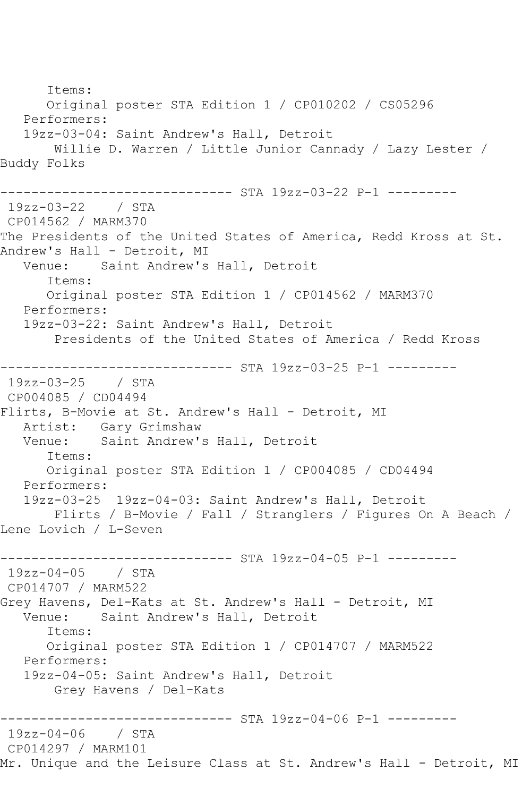Items: Original poster STA Edition 1 / CP010202 / CS05296 Performers: 19zz-03-04: Saint Andrew's Hall, Detroit Willie D. Warren / Little Junior Cannady / Lazy Lester / Buddy Folks ------------------------------ STA 19zz-03-22 P-1 --------- 19zz-03-22 / STA CP014562 / MARM370 The Presidents of the United States of America, Redd Kross at St. Andrew's Hall - Detroit, MI Venue: Saint Andrew's Hall, Detroit Items: Original poster STA Edition 1 / CP014562 / MARM370 Performers: 19zz-03-22: Saint Andrew's Hall, Detroit Presidents of the United States of America / Redd Kross ------------------------------ STA 19zz-03-25 P-1 --------- 19zz-03-25 / STA CP004085 / CD04494 Flirts, B-Movie at St. Andrew's Hall - Detroit, MI Artist: Gary Grimshaw Venue: Saint Andrew's Hall, Detroit Items: Original poster STA Edition 1 / CP004085 / CD04494 Performers: 19zz-03-25 19zz-04-03: Saint Andrew's Hall, Detroit Flirts / B-Movie / Fall / Stranglers / Figures On A Beach / Lene Lovich / L-Seven ------------------------------ STA 19zz-04-05 P-1 --------- 19zz-04-05 / STA CP014707 / MARM522 Grey Havens, Del-Kats at St. Andrew's Hall - Detroit, MI<br>Venue: Saint Andrew's Hall, Detroit Saint Andrew's Hall, Detroit Items: Original poster STA Edition 1 / CP014707 / MARM522 Performers: 19zz-04-05: Saint Andrew's Hall, Detroit Grey Havens / Del-Kats ------------ STA 19zz-04-06 P-1 ---------19zz-04-06 / STA CP014297 / MARM101 Mr. Unique and the Leisure Class at St. Andrew's Hall - Detroit, MI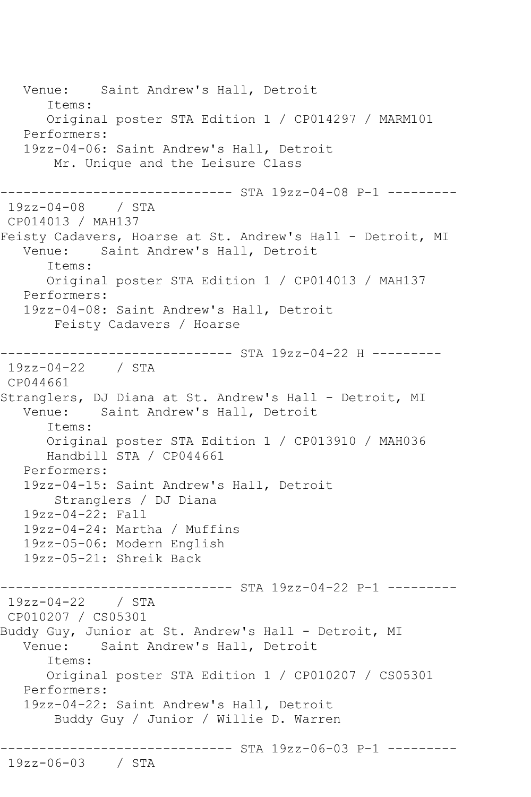Venue: Saint Andrew's Hall, Detroit Items: Original poster STA Edition 1 / CP014297 / MARM101 Performers: 19zz-04-06: Saint Andrew's Hall, Detroit Mr. Unique and the Leisure Class ------------------------------ STA 19zz-04-08 P-1 --------- 19zz-04-08 / STA CP014013 / MAH137 Feisty Cadavers, Hoarse at St. Andrew's Hall - Detroit, MI Venue: Saint Andrew's Hall, Detroit Items: Original poster STA Edition 1 / CP014013 / MAH137 Performers: 19zz-04-08: Saint Andrew's Hall, Detroit Feisty Cadavers / Hoarse ------------------------------ STA 19zz-04-22 H --------- 19zz-04-22 / STA CP044661 Stranglers, DJ Diana at St. Andrew's Hall - Detroit, MI Venue: Saint Andrew's Hall, Detroit Items: Original poster STA Edition 1 / CP013910 / MAH036 Handbill STA / CP044661 Performers: 19zz-04-15: Saint Andrew's Hall, Detroit Stranglers / DJ Diana 19zz-04-22: Fall 19zz-04-24: Martha / Muffins 19zz-05-06: Modern English 19zz-05-21: Shreik Back ----------------- STA 19zz-04-22 P-1 ---------19zz-04-22 / STA CP010207 / CS05301 Buddy Guy, Junior at St. Andrew's Hall - Detroit, MI Venue: Saint Andrew's Hall, Detroit Items: Original poster STA Edition 1 / CP010207 / CS05301 Performers: 19zz-04-22: Saint Andrew's Hall, Detroit Buddy Guy / Junior / Willie D. Warren ------------------------------ STA 19zz-06-03 P-1 --------- 19zz-06-03 / STA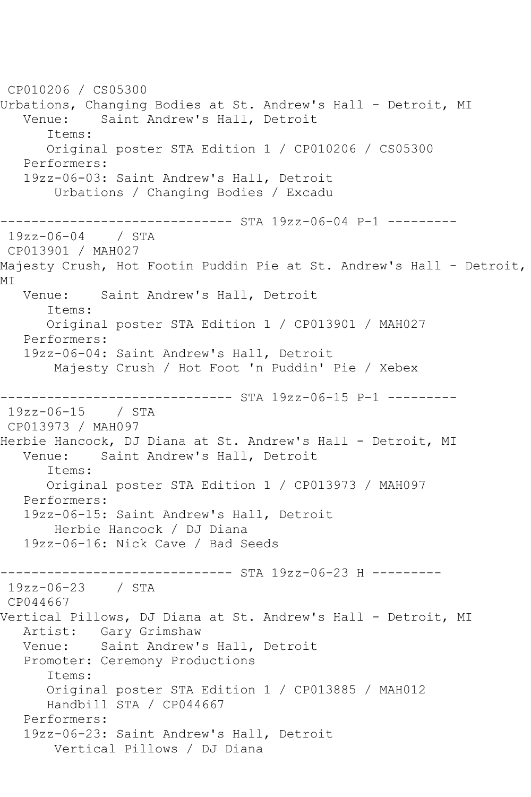CP010206 / CS05300 Urbations, Changing Bodies at St. Andrew's Hall - Detroit, MI Venue: Saint Andrew's Hall, Detroit Items: Original poster STA Edition 1 / CP010206 / CS05300 Performers: 19zz-06-03: Saint Andrew's Hall, Detroit Urbations / Changing Bodies / Excadu ------------------------------ STA 19zz-06-04 P-1 --------- 19zz-06-04 / STA CP013901 / MAH027 Majesty Crush, Hot Footin Puddin Pie at St. Andrew's Hall - Detroit, MI Venue: Saint Andrew's Hall, Detroit Items: Original poster STA Edition 1 / CP013901 / MAH027 Performers: 19zz-06-04: Saint Andrew's Hall, Detroit Majesty Crush / Hot Foot 'n Puddin' Pie / Xebex ------------------------------ STA 19zz-06-15 P-1 --------- 19zz-06-15 / STA CP013973 / MAH097 Herbie Hancock, DJ Diana at St. Andrew's Hall - Detroit, MI Venue: Saint Andrew's Hall, Detroit Items: Original poster STA Edition 1 / CP013973 / MAH097 Performers: 19zz-06-15: Saint Andrew's Hall, Detroit Herbie Hancock / DJ Diana 19zz-06-16: Nick Cave / Bad Seeds ------------------------------ STA 19zz-06-23 H --------- 19zz-06-23 / STA CP044667 Vertical Pillows, DJ Diana at St. Andrew's Hall - Detroit, MI Artist: Gary Grimshaw Venue: Saint Andrew's Hall, Detroit Promoter: Ceremony Productions Items: Original poster STA Edition 1 / CP013885 / MAH012 Handbill STA / CP044667 Performers: 19zz-06-23: Saint Andrew's Hall, Detroit Vertical Pillows / DJ Diana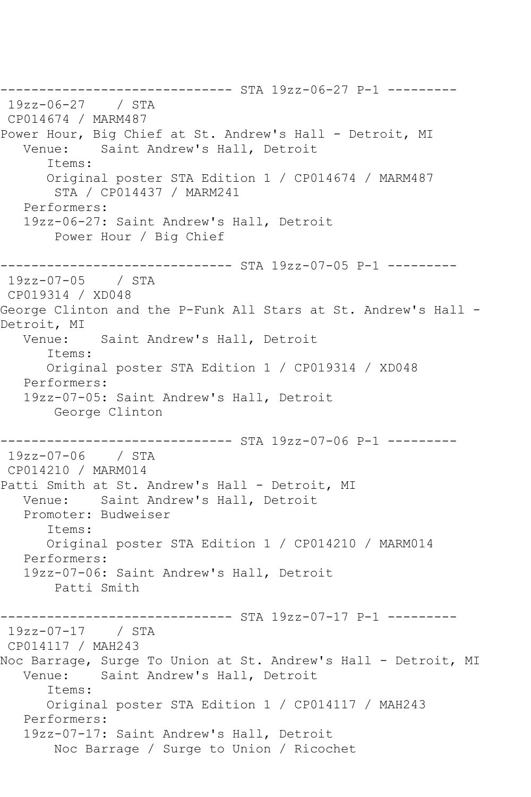------------------------------ STA 19zz-06-27 P-1 --------- 19zz-06-27 / STA CP014674 / MARM487 Power Hour, Big Chief at St. Andrew's Hall - Detroit, MI<br>Venue: Saint Andrew's Hall, Detroit Saint Andrew's Hall, Detroit Items: Original poster STA Edition 1 / CP014674 / MARM487 STA / CP014437 / MARM241 Performers: 19zz-06-27: Saint Andrew's Hall, Detroit Power Hour / Big Chief ------------------------------ STA 19zz-07-05 P-1 --------- 19zz-07-05 / STA CP019314 / XD048 George Clinton and the P-Funk All Stars at St. Andrew's Hall - Detroit, MI<br>:Venue Saint Andrew's Hall, Detroit Items: Original poster STA Edition 1 / CP019314 / XD048 Performers: 19zz-07-05: Saint Andrew's Hall, Detroit George Clinton ------------------------------ STA 19zz-07-06 P-1 --------- 19zz-07-06 / STA CP014210 / MARM014 Patti Smith at St. Andrew's Hall - Detroit, MI Venue: Saint Andrew's Hall, Detroit Promoter: Budweiser Items: Original poster STA Edition 1 / CP014210 / MARM014 Performers: 19zz-07-06: Saint Andrew's Hall, Detroit Patti Smith ------------------------------ STA 19zz-07-17 P-1 --------- 19zz-07-17 / STA CP014117 / MAH243 Noc Barrage, Surge To Union at St. Andrew's Hall - Detroit, MI<br>Venue: Saint Andrew's Hall, Detroit Saint Andrew's Hall, Detroit Items: Original poster STA Edition 1 / CP014117 / MAH243 Performers: 19zz-07-17: Saint Andrew's Hall, Detroit Noc Barrage / Surge to Union / Ricochet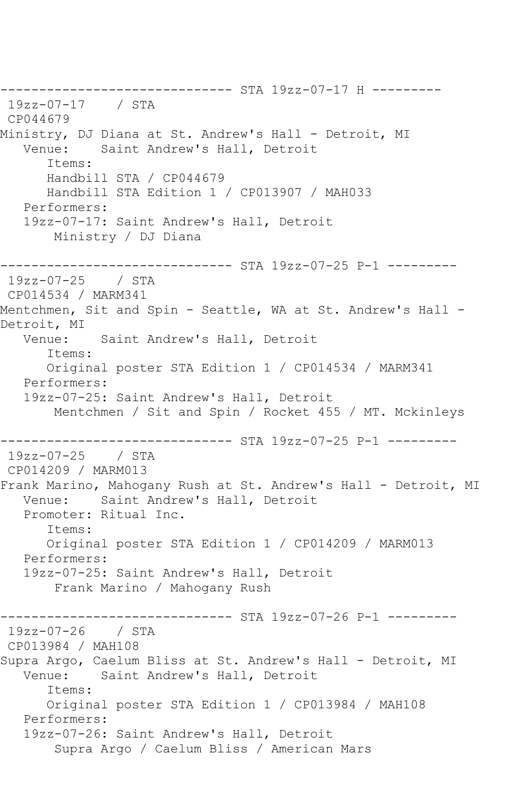------------------------------ STA 19zz-07-17 H --------- 19zz-07-17 / STA CP044679 Ministry, DJ Diana at St. Andrew's Hall - Detroit, MI<br>Venue: Saint Andrew's Hall, Detroit Saint Andrew's Hall, Detroit Items: Handbill STA / CP044679 Handbill STA Edition 1 / CP013907 / MAH033 Performers: 19zz-07-17: Saint Andrew's Hall, Detroit Ministry / DJ Diana ------------------------------ STA 19zz-07-25 P-1 --------- 19zz-07-25 / STA CP014534 / MARM341 Mentchmen, Sit and Spin - Seattle, WA at St. Andrew's Hall - Detroit, MI<br>:Venue Saint Andrew's Hall, Detroit Items: Original poster STA Edition 1 / CP014534 / MARM341 Performers: 19zz-07-25: Saint Andrew's Hall, Detroit Mentchmen / Sit and Spin / Rocket 455 / MT. Mckinleys ------------------------------ STA 19zz-07-25 P-1 --------- 19zz-07-25 / STA CP014209 / MARM013 Frank Marino, Mahogany Rush at St. Andrew's Hall - Detroit, MI Venue: Saint Andrew's Hall, Detroit Promoter: Ritual Inc. Items: Original poster STA Edition 1 / CP014209 / MARM013 Performers: 19zz-07-25: Saint Andrew's Hall, Detroit Frank Marino / Mahogany Rush ------------------------------ STA 19zz-07-26 P-1 --------- 19zz-07-26 / STA CP013984 / MAH108 Supra Argo, Caelum Bliss at St. Andrew's Hall - Detroit, MI Venue: Saint Andrew's Hall, Detroit Items: Original poster STA Edition 1 / CP013984 / MAH108 Performers: 19zz-07-26: Saint Andrew's Hall, Detroit Supra Argo / Caelum Bliss / American Mars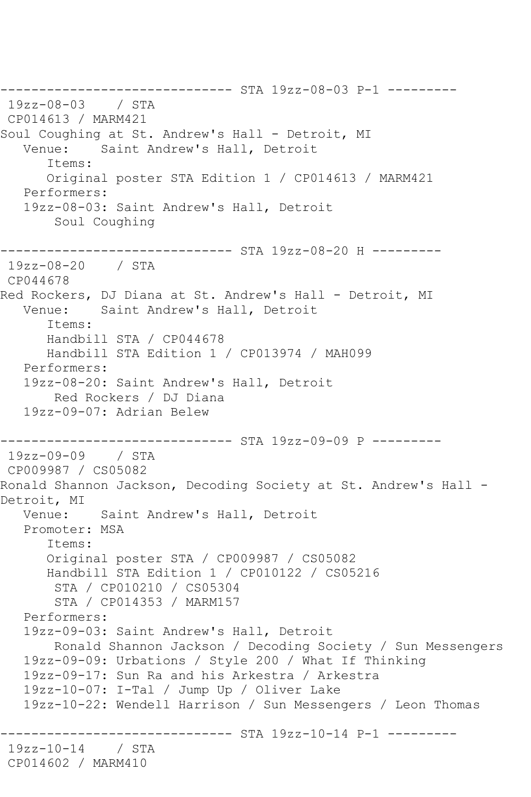------------------------------ STA 19zz-08-03 P-1 --------- 19zz-08-03 / STA CP014613 / MARM421 Soul Coughing at St. Andrew's Hall - Detroit, MI Venue: Saint Andrew's Hall, Detroit Items: Original poster STA Edition 1 / CP014613 / MARM421 Performers: 19zz-08-03: Saint Andrew's Hall, Detroit Soul Coughing ------------------------------ STA 19zz-08-20 H --------- 19zz-08-20 / STA CP044678 Red Rockers, DJ Diana at St. Andrew's Hall - Detroit, MI Venue: Saint Andrew's Hall, Detroit Items: Handbill STA / CP044678 Handbill STA Edition 1 / CP013974 / MAH099 Performers: 19zz-08-20: Saint Andrew's Hall, Detroit Red Rockers / DJ Diana 19zz-09-07: Adrian Belew ------------------------------ STA 19zz-09-09 P --------- 19zz-09-09 / STA CP009987 / CS05082 Ronald Shannon Jackson, Decoding Society at St. Andrew's Hall - Detroit, MI Venue: Saint Andrew's Hall, Detroit Promoter: MSA Items: Original poster STA / CP009987 / CS05082 Handbill STA Edition 1 / CP010122 / CS05216 STA / CP010210 / CS05304 STA / CP014353 / MARM157 Performers: 19zz-09-03: Saint Andrew's Hall, Detroit Ronald Shannon Jackson / Decoding Society / Sun Messengers 19zz-09-09: Urbations / Style 200 / What If Thinking 19zz-09-17: Sun Ra and his Arkestra / Arkestra 19zz-10-07: I-Tal / Jump Up / Oliver Lake 19zz-10-22: Wendell Harrison / Sun Messengers / Leon Thomas -------------- STA 19zz-10-14 P-1 ----------19zz-10-14 / STA CP014602 / MARM410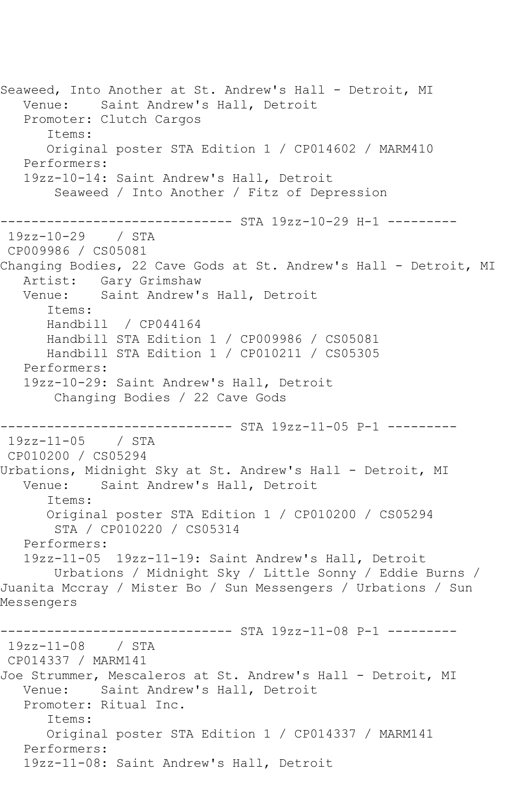Seaweed, Into Another at St. Andrew's Hall - Detroit, MI Venue: Saint Andrew's Hall, Detroit Promoter: Clutch Cargos Items: Original poster STA Edition 1 / CP014602 / MARM410 Performers: 19zz-10-14: Saint Andrew's Hall, Detroit Seaweed / Into Another / Fitz of Depression ------------------------------ STA 19zz-10-29 H-1 --------- 19zz-10-29 / STA CP009986 / CS05081 Changing Bodies, 22 Cave Gods at St. Andrew's Hall - Detroit, MI Artist: Gary Grimshaw Venue: Saint Andrew's Hall, Detroit Items: Handbill / CP044164 Handbill STA Edition 1 / CP009986 / CS05081 Handbill STA Edition 1 / CP010211 / CS05305 Performers: 19zz-10-29: Saint Andrew's Hall, Detroit Changing Bodies / 22 Cave Gods ------------------------------ STA 19zz-11-05 P-1 --------- 19zz-11-05 / STA CP010200 / CS05294 Urbations, Midnight Sky at St. Andrew's Hall - Detroit, MI Venue: Saint Andrew's Hall, Detroit Items: Original poster STA Edition 1 / CP010200 / CS05294 STA / CP010220 / CS05314 Performers: 19zz-11-05 19zz-11-19: Saint Andrew's Hall, Detroit Urbations / Midnight Sky / Little Sonny / Eddie Burns / Juanita Mccray / Mister Bo / Sun Messengers / Urbations / Sun Messengers ----------- STA 19zz-11-08 P-1 ---------19zz-11-08 / STA CP014337 / MARM141 Joe Strummer, Mescaleros at St. Andrew's Hall - Detroit, MI Venue: Saint Andrew's Hall, Detroit Promoter: Ritual Inc. Items: Original poster STA Edition 1 / CP014337 / MARM141 Performers: 19zz-11-08: Saint Andrew's Hall, Detroit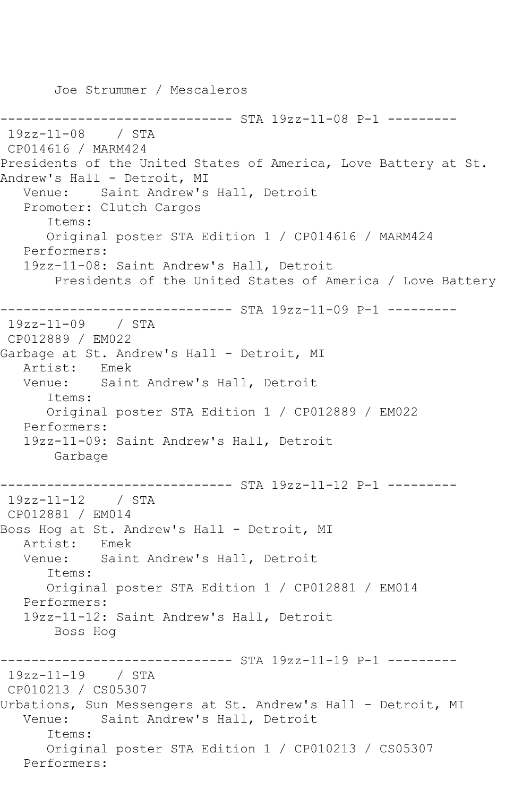Joe Strummer / Mescaleros

------------- STA 19zz-11-08 P-1 ---------19zz-11-08 / STA CP014616 / MARM424 Presidents of the United States of America, Love Battery at St. Andrew's Hall - Detroit, MI Venue: Saint Andrew's Hall, Detroit Promoter: Clutch Cargos Items: Original poster STA Edition 1 / CP014616 / MARM424 Performers: 19zz-11-08: Saint Andrew's Hall, Detroit Presidents of the United States of America / Love Battery ------------------------------ STA 19zz-11-09 P-1 --------- 19zz-11-09 / STA CP012889 / EM022 Garbage at St. Andrew's Hall - Detroit, MI Artist: Emek Venue: Saint Andrew's Hall, Detroit Items: Original poster STA Edition 1 / CP012889 / EM022 Performers: 19zz-11-09: Saint Andrew's Hall, Detroit Garbage ------------------------------ STA 19zz-11-12 P-1 --------- 19zz-11-12 / STA CP012881 / EM014 Boss Hog at St. Andrew's Hall - Detroit, MI<br>Artist: Emek Artist:<br>Venue: Saint Andrew's Hall, Detroit Items: Original poster STA Edition 1 / CP012881 / EM014 Performers: 19zz-11-12: Saint Andrew's Hall, Detroit Boss Hog ------------------------------ STA 19zz-11-19 P-1 --------- 19zz-11-19 / STA CP010213 / CS05307 Urbations, Sun Messengers at St. Andrew's Hall - Detroit, MI Venue: Saint Andrew's Hall, Detroit Items: Original poster STA Edition 1 / CP010213 / CS05307 Performers: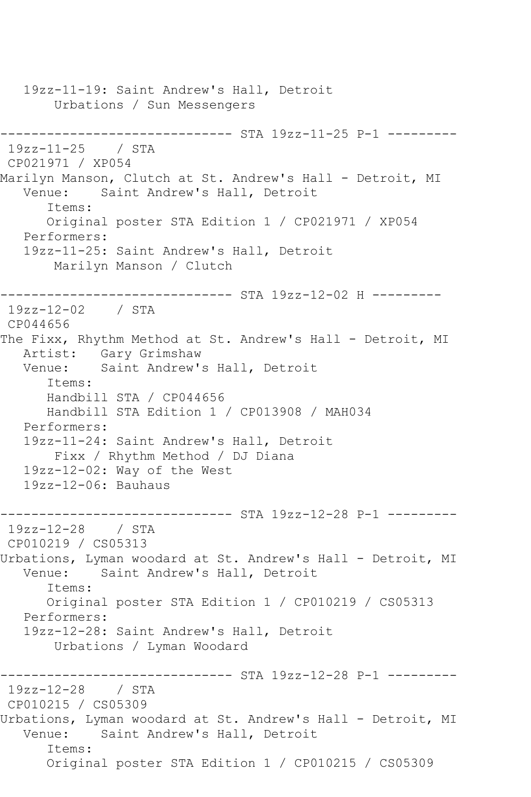19zz-11-19: Saint Andrew's Hall, Detroit Urbations / Sun Messengers ------------------------------ STA 19zz-11-25 P-1 --------- 19zz-11-25 / STA CP021971 / XP054 Marilyn Manson, Clutch at St. Andrew's Hall - Detroit, MI<br>Venue: Saint Andrew's Hall, Detroit Saint Andrew's Hall, Detroit Items: Original poster STA Edition 1 / CP021971 / XP054 Performers: 19zz-11-25: Saint Andrew's Hall, Detroit Marilyn Manson / Clutch ------------------------------ STA 19zz-12-02 H --------- 19zz-12-02 / STA CP044656 The Fixx, Rhythm Method at St. Andrew's Hall - Detroit, MI Artist: Gary Grimshaw Venue: Saint Andrew's Hall, Detroit Items: Handbill STA / CP044656 Handbill STA Edition 1 / CP013908 / MAH034 Performers: 19zz-11-24: Saint Andrew's Hall, Detroit Fixx / Rhythm Method / DJ Diana 19zz-12-02: Way of the West 19zz-12-06: Bauhaus ------------------------------ STA 19zz-12-28 P-1 --------- 19zz-12-28 / STA CP010219 / CS05313 Urbations, Lyman woodard at St. Andrew's Hall - Detroit, MI<br>Venue: Saint Andrew's Hall, Detroit Saint Andrew's Hall, Detroit Items: Original poster STA Edition 1 / CP010219 / CS05313 Performers: 19zz-12-28: Saint Andrew's Hall, Detroit Urbations / Lyman Woodard ----------- STA 19zz-12-28 P-1 ----------19zz-12-28 / STA CP010215 / CS05309 Urbations, Lyman woodard at St. Andrew's Hall - Detroit, MI Venue: Saint Andrew's Hall, Detroit Items: Original poster STA Edition 1 / CP010215 / CS05309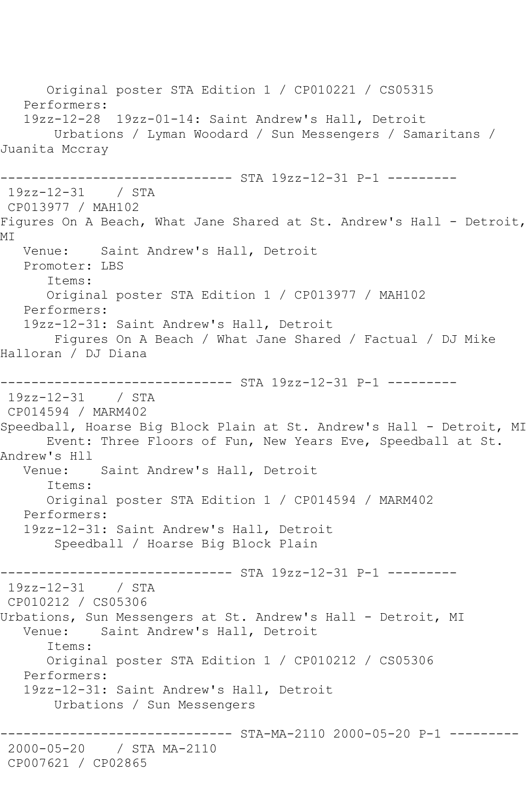Original poster STA Edition 1 / CP010221 / CS05315 Performers: 19zz-12-28 19zz-01-14: Saint Andrew's Hall, Detroit Urbations / Lyman Woodard / Sun Messengers / Samaritans / Juanita Mccray ------------------------------ STA 19zz-12-31 P-1 --------- 19zz-12-31 / STA CP013977 / MAH102 Figures On A Beach, What Jane Shared at St. Andrew's Hall - Detroit, **MT**  Venue: Saint Andrew's Hall, Detroit Promoter: LBS Items: Original poster STA Edition 1 / CP013977 / MAH102 Performers: 19zz-12-31: Saint Andrew's Hall, Detroit Figures On A Beach / What Jane Shared / Factual / DJ Mike Halloran / DJ Diana ------------------------------ STA 19zz-12-31 P-1 --------- 19zz-12-31 / STA CP014594 / MARM402 Speedball, Hoarse Big Block Plain at St. Andrew's Hall - Detroit, MI Event: Three Floors of Fun, New Years Eve, Speedball at St. Andrew's Hll Venue: Saint Andrew's Hall, Detroit Items: Original poster STA Edition 1 / CP014594 / MARM402 Performers: 19zz-12-31: Saint Andrew's Hall, Detroit Speedball / Hoarse Big Block Plain ------------------------------ STA 19zz-12-31 P-1 --------- 19zz-12-31 / STA CP010212 / CS05306 Urbations, Sun Messengers at St. Andrew's Hall - Detroit, MI<br>Venue: Saint Andrew's Hall, Detroit Saint Andrew's Hall, Detroit Items: Original poster STA Edition 1 / CP010212 / CS05306 Performers: 19zz-12-31: Saint Andrew's Hall, Detroit Urbations / Sun Messengers ---------- STA-MA-2110 2000-05-20 P-1 ---------2000-05-20 / STA MA-2110 CP007621 / CP02865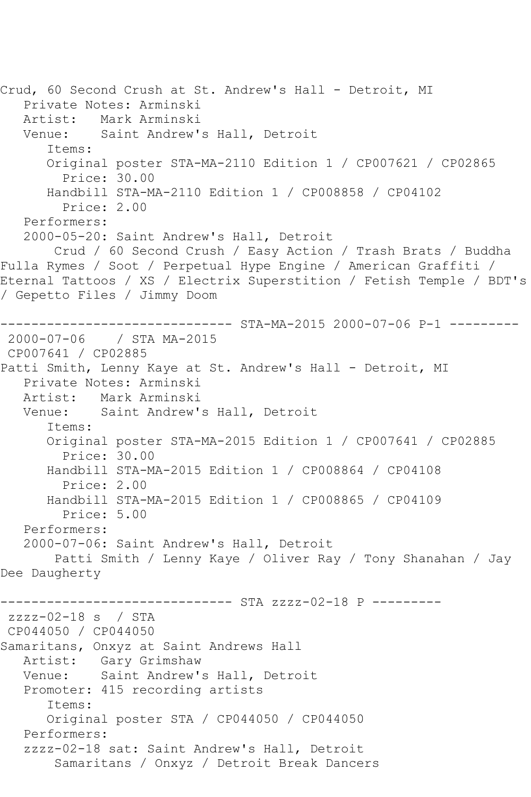Crud, 60 Second Crush at St. Andrew's Hall - Detroit, MI Private Notes: Arminski Artist: Mark Arminski Venue: Saint Andrew's Hall, Detroit Items: Original poster STA-MA-2110 Edition 1 / CP007621 / CP02865 Price: 30.00 Handbill STA-MA-2110 Edition 1 / CP008858 / CP04102 Price: 2.00 Performers: 2000-05-20: Saint Andrew's Hall, Detroit Crud / 60 Second Crush / Easy Action / Trash Brats / Buddha Fulla Rymes / Soot / Perpetual Hype Engine / American Graffiti / Eternal Tattoos / XS / Electrix Superstition / Fetish Temple / BDT's / Gepetto Files / Jimmy Doom ------------------------------ STA-MA-2015 2000-07-06 P-1 --------- 2000-07-06 / STA MA-2015 CP007641 / CP02885 Patti Smith, Lenny Kaye at St. Andrew's Hall - Detroit, MI Private Notes: Arminski Mark Arminski Venue: Saint Andrew's Hall, Detroit Items: Original poster STA-MA-2015 Edition 1 / CP007641 / CP02885 Price: 30.00 Handbill STA-MA-2015 Edition 1 / CP008864 / CP04108 Price: 2.00 Handbill STA-MA-2015 Edition 1 / CP008865 / CP04109 Price: 5.00 Performers: 2000-07-06: Saint Andrew's Hall, Detroit Patti Smith / Lenny Kaye / Oliver Ray / Tony Shanahan / Jay Dee Daugherty ------------------------------ STA zzzz-02-18 P -------- zzzz-02-18 s / STA CP044050 / CP044050 Samaritans, Onxyz at Saint Andrews Hall Artist: Gary Grimshaw<br>Venue: Saint Andrew's Saint Andrew's Hall, Detroit Promoter: 415 recording artists Items: Original poster STA / CP044050 / CP044050 Performers: zzzz-02-18 sat: Saint Andrew's Hall, Detroit Samaritans / Onxyz / Detroit Break Dancers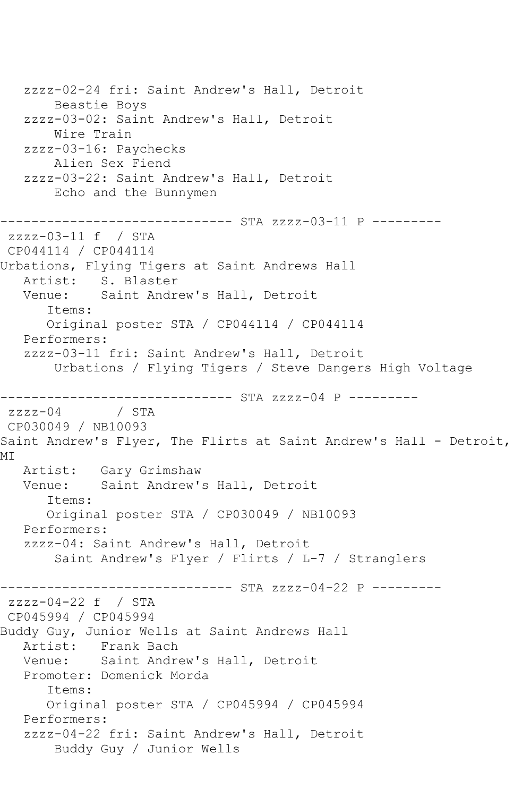zzzz-02-24 fri: Saint Andrew's Hall, Detroit Beastie Boys zzzz-03-02: Saint Andrew's Hall, Detroit Wire Train zzzz-03-16: Paychecks Alien Sex Fiend zzzz-03-22: Saint Andrew's Hall, Detroit Echo and the Bunnymen ------------------------------ STA zzzz-03-11 P -------- zzzz-03-11 f / STA CP044114 / CP044114 Urbations, Flying Tigers at Saint Andrews Hall Artist: S. Blaster Venue: Saint Andrew's Hall, Detroit Items: Original poster STA / CP044114 / CP044114 Performers: zzzz-03-11 fri: Saint Andrew's Hall, Detroit Urbations / Flying Tigers / Steve Dangers High Voltage ------------------------------ STA zzzz-04 P -------- zzzz-04 / STA CP030049 / NB10093 Saint Andrew's Flyer, The Flirts at Saint Andrew's Hall - Detroit, MI Artist: Gary Grimshaw Venue: Saint Andrew's Hall, Detroit Items: Original poster STA / CP030049 / NB10093 Performers: zzzz-04: Saint Andrew's Hall, Detroit Saint Andrew's Flyer / Flirts / L-7 / Stranglers ------------ STA zzzz-04-22 P ---------zzzz-04-22 f / STA CP045994 / CP045994 Buddy Guy, Junior Wells at Saint Andrews Hall Artist: Frank Bach Venue: Saint Andrew's Hall, Detroit Promoter: Domenick Morda Items: Original poster STA / CP045994 / CP045994 Performers: zzzz-04-22 fri: Saint Andrew's Hall, Detroit Buddy Guy / Junior Wells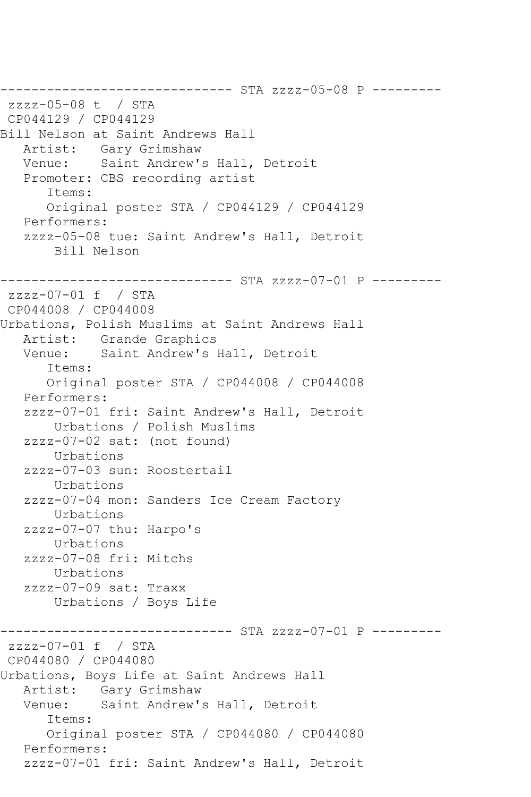------------------------------ STA zzzz-05-08 P -------- zzzz-05-08 t / STA CP044129 / CP044129 Bill Nelson at Saint Andrews Hall Artist: Gary Grimshaw Venue: Saint Andrew's Hall, Detroit Promoter: CBS recording artist Items: Original poster STA / CP044129 / CP044129 Performers: zzzz-05-08 tue: Saint Andrew's Hall, Detroit Bill Nelson ------------------------------ STA zzzz-07-01 P -------- zzzz-07-01 f / STA CP044008 / CP044008 Urbations, Polish Muslims at Saint Andrews Hall Artist: Grande Graphics Venue: Saint Andrew's Hall, Detroit Items: Original poster STA / CP044008 / CP044008 Performers: zzzz-07-01 fri: Saint Andrew's Hall, Detroit Urbations / Polish Muslims zzzz-07-02 sat: (not found) Urbations zzzz-07-03 sun: Roostertail Urbations zzzz-07-04 mon: Sanders Ice Cream Factory Urbations zzzz-07-07 thu: Harpo's Urbations zzzz-07-08 fri: Mitchs Urbations zzzz-07-09 sat: Traxx Urbations / Boys Life ------------------------------ STA zzzz-07-01 P -------- zzzz-07-01 f / STA CP044080 / CP044080 Urbations, Boys Life at Saint Andrews Hall Artist: Gary Grimshaw Venue: Saint Andrew's Hall, Detroit Items: Original poster STA / CP044080 / CP044080 Performers: zzzz-07-01 fri: Saint Andrew's Hall, Detroit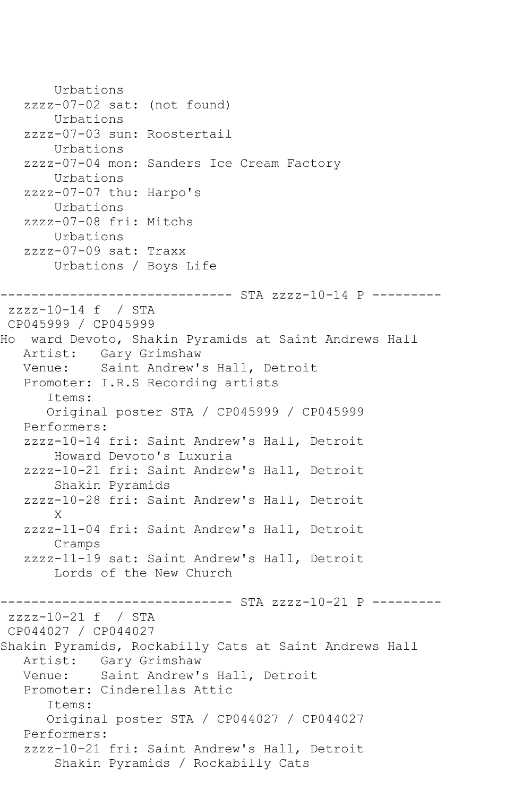```
 Urbations
   zzzz-07-02 sat: (not found)
        Urbations
   zzzz-07-03 sun: Roostertail
        Urbations
   zzzz-07-04 mon: Sanders Ice Cream Factory
        Urbations
   zzzz-07-07 thu: Harpo's
       Urbations
   zzzz-07-08 fri: Mitchs
       Urbations
   zzzz-07-09 sat: Traxx
        Urbations / Boys Life
------------------------------ STA zzzz-10-14 P ---------
zzzz-10-14 f / STA 
CP045999 / CP045999
Ho ward Devoto, Shakin Pyramids at Saint Andrews Hall
   Artist: Gary Grimshaw
   Venue: Saint Andrew's Hall, Detroit
   Promoter: I.R.S Recording artists
       Items:
      Original poster STA / CP045999 / CP045999
   Performers:
   zzzz-10-14 fri: Saint Andrew's Hall, Detroit
       Howard Devoto's Luxuria
   zzzz-10-21 fri: Saint Andrew's Hall, Detroit
        Shakin Pyramids
   zzzz-10-28 fri: Saint Andrew's Hall, Detroit
 X
   zzzz-11-04 fri: Saint Andrew's Hall, Detroit
        Cramps
   zzzz-11-19 sat: Saint Andrew's Hall, Detroit
        Lords of the New Church
------------------------------ STA zzzz-10-21 P ---------
zzzz-10-21 f / STA 
CP044027 / CP044027
Shakin Pyramids, Rockabilly Cats at Saint Andrews Hall
   Artist: Gary Grimshaw
   Venue: Saint Andrew's Hall, Detroit
   Promoter: Cinderellas Attic
       Items:
       Original poster STA / CP044027 / CP044027
   Performers:
   zzzz-10-21 fri: Saint Andrew's Hall, Detroit
        Shakin Pyramids / Rockabilly Cats
```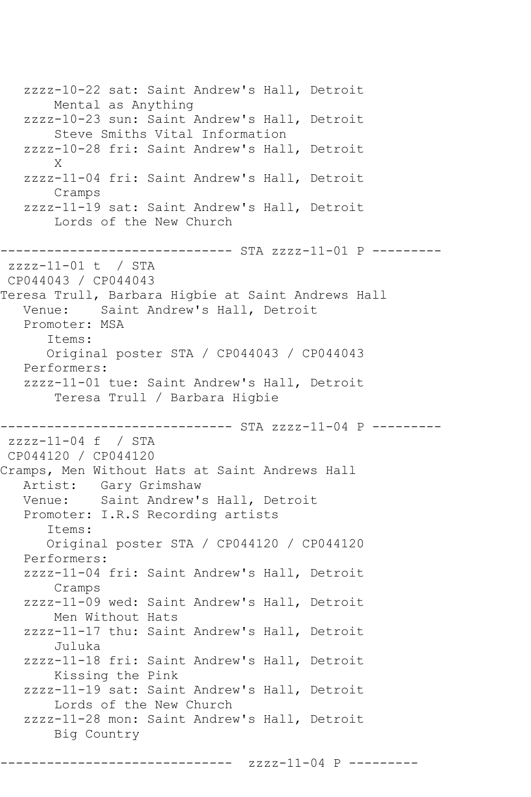zzzz-10-22 sat: Saint Andrew's Hall, Detroit Mental as Anything zzzz-10-23 sun: Saint Andrew's Hall, Detroit Steve Smiths Vital Information zzzz-10-28 fri: Saint Andrew's Hall, Detroit X zzzz-11-04 fri: Saint Andrew's Hall, Detroit Cramps zzzz-11-19 sat: Saint Andrew's Hall, Detroit Lords of the New Church ------------------------------ STA zzzz-11-01 P -------- zzzz-11-01 t / STA CP044043 / CP044043 Teresa Trull, Barbara Higbie at Saint Andrews Hall Venue: Saint Andrew's Hall, Detroit Promoter: MSA Items: Original poster STA / CP044043 / CP044043 Performers: zzzz-11-01 tue: Saint Andrew's Hall, Detroit Teresa Trull / Barbara Higbie ------------------------------ STA zzzz-11-04 P -------- zzzz-11-04 f / STA CP044120 / CP044120 Cramps, Men Without Hats at Saint Andrews Hall Artist: Gary Grimshaw Venue: Saint Andrew's Hall, Detroit Promoter: I.R.S Recording artists Items: Original poster STA / CP044120 / CP044120 Performers: zzzz-11-04 fri: Saint Andrew's Hall, Detroit Cramps zzzz-11-09 wed: Saint Andrew's Hall, Detroit Men Without Hats zzzz-11-17 thu: Saint Andrew's Hall, Detroit Juluka zzzz-11-18 fri: Saint Andrew's Hall, Detroit Kissing the Pink zzzz-11-19 sat: Saint Andrew's Hall, Detroit Lords of the New Church zzzz-11-28 mon: Saint Andrew's Hall, Detroit Big Country

------------------------------ zzzz-11-04 P ---------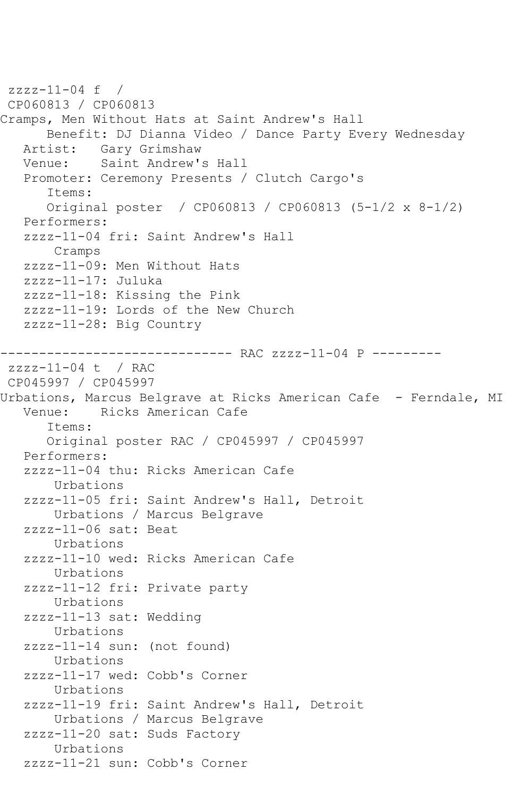$zzzz-11-04$  f / CP060813 / CP060813 Cramps, Men Without Hats at Saint Andrew's Hall Benefit: DJ Dianna Video / Dance Party Every Wednesday Artist: Gary Grimshaw Venue: Saint Andrew's Hall Promoter: Ceremony Presents / Clutch Cargo's Items: Original poster / CP060813 / CP060813 (5-1/2 x 8-1/2) Performers: zzzz-11-04 fri: Saint Andrew's Hall Cramps zzzz-11-09: Men Without Hats zzzz-11-17: Juluka zzzz-11-18: Kissing the Pink zzzz-11-19: Lords of the New Church zzzz-11-28: Big Country ------------------------------ RAC zzzz-11-04 P -------- zzzz-11-04 t / RAC CP045997 / CP045997 Urbations, Marcus Belgrave at Ricks American Cafe - Ferndale, MI Venue: Ricks American Cafe Items: Original poster RAC / CP045997 / CP045997 Performers: zzzz-11-04 thu: Ricks American Cafe Urbations zzzz-11-05 fri: Saint Andrew's Hall, Detroit Urbations / Marcus Belgrave zzzz-11-06 sat: Beat Urbations zzzz-11-10 wed: Ricks American Cafe Urbations zzzz-11-12 fri: Private party Urbations zzzz-11-13 sat: Wedding Urbations zzzz-11-14 sun: (not found) Urbations zzzz-11-17 wed: Cobb's Corner Urbations zzzz-11-19 fri: Saint Andrew's Hall, Detroit Urbations / Marcus Belgrave zzzz-11-20 sat: Suds Factory Urbations zzzz-11-21 sun: Cobb's Corner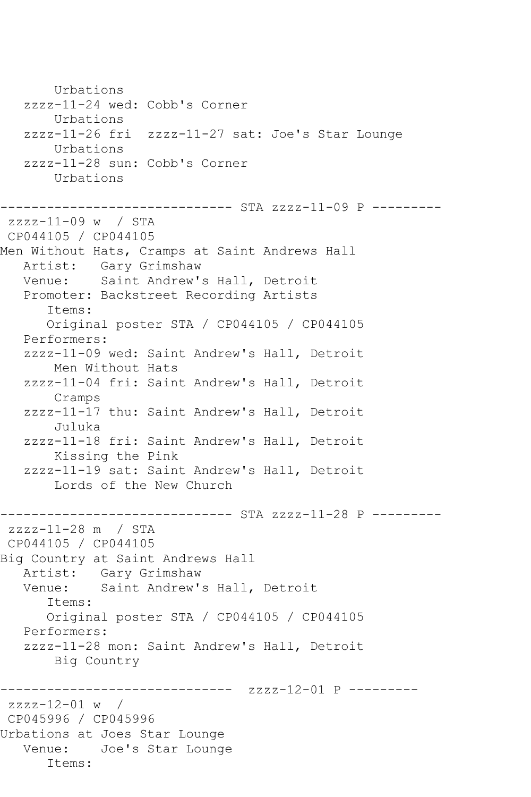Urbations zzzz-11-24 wed: Cobb's Corner Urbations zzzz-11-26 fri zzzz-11-27 sat: Joe's Star Lounge Urbations zzzz-11-28 sun: Cobb's Corner Urbations ------------------------------ STA zzzz-11-09 P -------- zzzz-11-09 w / STA CP044105 / CP044105 Men Without Hats, Cramps at Saint Andrews Hall Artist: Gary Grimshaw Venue: Saint Andrew's Hall, Detroit Promoter: Backstreet Recording Artists Items: Original poster STA / CP044105 / CP044105 Performers: zzzz-11-09 wed: Saint Andrew's Hall, Detroit Men Without Hats zzzz-11-04 fri: Saint Andrew's Hall, Detroit Cramps zzzz-11-17 thu: Saint Andrew's Hall, Detroit Juluka zzzz-11-18 fri: Saint Andrew's Hall, Detroit Kissing the Pink zzzz-11-19 sat: Saint Andrew's Hall, Detroit Lords of the New Church ------------------------------ STA zzzz-11-28 P -------- zzzz-11-28 m / STA CP044105 / CP044105 Big Country at Saint Andrews Hall Artist: Gary Grimshaw Venue: Saint Andrew's Hall, Detroit Items: Original poster STA / CP044105 / CP044105 Performers: zzzz-11-28 mon: Saint Andrew's Hall, Detroit Big Country ------------------------------ zzzz-12-01 P -------- zzzz-12-01 w / CP045996 / CP045996 Urbations at Joes Star Lounge Venue: Joe's Star Lounge Items: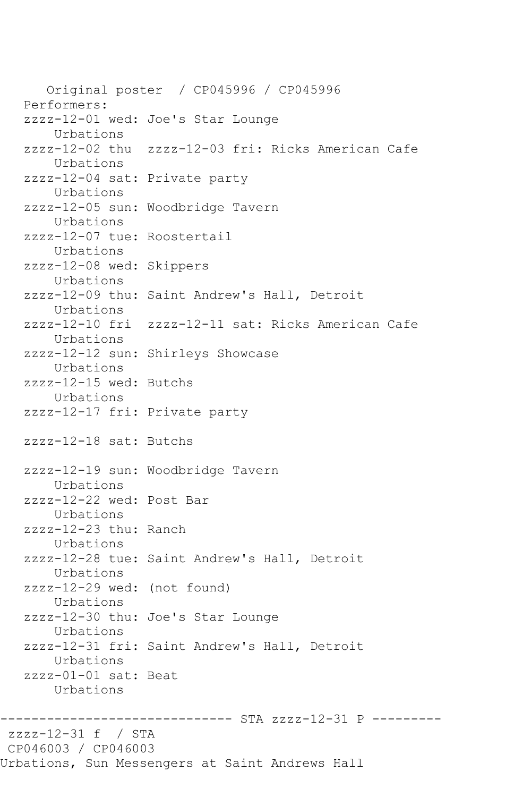Original poster / CP045996 / CP045996 Performers: zzzz-12-01 wed: Joe's Star Lounge Urbations zzzz-12-02 thu zzzz-12-03 fri: Ricks American Cafe Urbations zzzz-12-04 sat: Private party Urbations zzzz-12-05 sun: Woodbridge Tavern Urbations zzzz-12-07 tue: Roostertail Urbations zzzz-12-08 wed: Skippers Urbations zzzz-12-09 thu: Saint Andrew's Hall, Detroit Urbations zzzz-12-10 fri zzzz-12-11 sat: Ricks American Cafe Urbations zzzz-12-12 sun: Shirleys Showcase Urbations zzzz-12-15 wed: Butchs Urbations zzzz-12-17 fri: Private party zzzz-12-18 sat: Butchs zzzz-12-19 sun: Woodbridge Tavern Urbations zzzz-12-22 wed: Post Bar Urbations zzzz-12-23 thu: Ranch Urbations zzzz-12-28 tue: Saint Andrew's Hall, Detroit Urbations zzzz-12-29 wed: (not found) Urbations zzzz-12-30 thu: Joe's Star Lounge Urbations zzzz-12-31 fri: Saint Andrew's Hall, Detroit Urbations zzzz-01-01 sat: Beat Urbations ------------------------------ STA zzzz-12-31 P -------- zzzz-12-31 f / STA CP046003 / CP046003 Urbations, Sun Messengers at Saint Andrews Hall